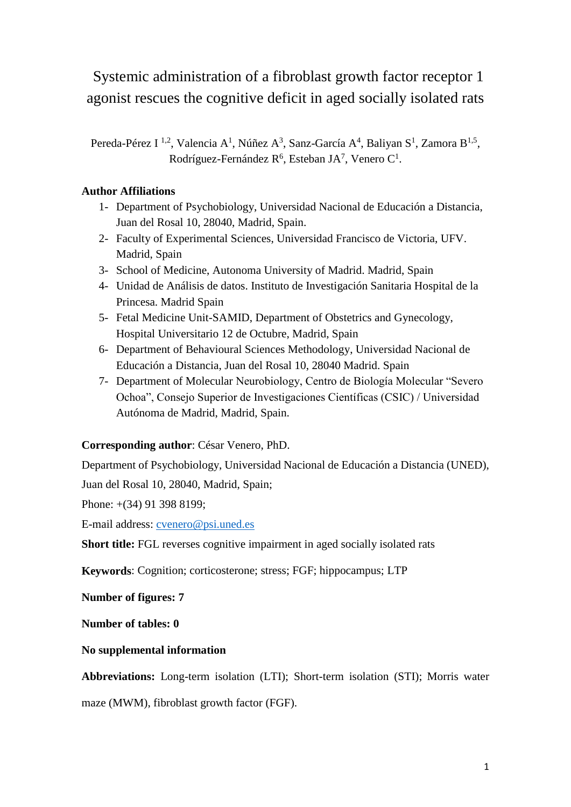# Systemic administration of a fibroblast growth factor receptor 1 agonist rescues the cognitive deficit in aged socially isolated rats

Pereda-Pérez I<sup>1,2</sup>, Valencia A<sup>1</sup>, Núñez A<sup>3</sup>, Sanz-García A<sup>4</sup>, Baliyan S<sup>1</sup>, Zamora B<sup>1,5</sup>, Rodríguez-Fernández R<sup>6</sup>, Esteban JA<sup>7</sup>, Venero C<sup>1</sup>.

## **Author Affiliations**

- 1- Department of Psychobiology, Universidad Nacional de Educación a Distancia, Juan del Rosal 10, 28040, Madrid, Spain.
- 2- Faculty of Experimental Sciences, Universidad Francisco de Victoria, UFV. Madrid, Spain
- 3- School of Medicine, Autonoma University of Madrid. Madrid, Spain
- 4- Unidad de Análisis de datos. Instituto de Investigación Sanitaria Hospital de la Princesa. Madrid Spain
- 5- Fetal Medicine Unit-SAMID, Department of Obstetrics and Gynecology, Hospital Universitario 12 de Octubre, Madrid, Spain
- 6- Department of Behavioural Sciences Methodology, Universidad Nacional de Educación a Distancia, Juan del Rosal 10, 28040 Madrid. Spain
- 7- Department of Molecular Neurobiology, Centro de Biología Molecular "Severo Ochoa", Consejo Superior de Investigaciones Científicas (CSIC) / Universidad Autónoma de Madrid, Madrid, Spain.

## **Corresponding author**: César Venero, PhD.

Department of Psychobiology, Universidad Nacional de Educación a Distancia (UNED),

Juan del Rosal 10, 28040, Madrid, Spain;

Phone: +(34) 91 398 8199;

E-mail address: [cvenero@psi.uned.es](mailto:cvenero@psi.uned.es)

**Short title:** FGL reverses cognitive impairment in aged socially isolated rats

**Keywords**: Cognition; corticosterone; stress; FGF; hippocampus; LTP

**Number of figures: 7**

**Number of tables: 0**

## **No supplemental information**

**Abbreviations:** Long-term isolation (LTI); Short-term isolation (STI); Morris water

maze (MWM), fibroblast growth factor (FGF).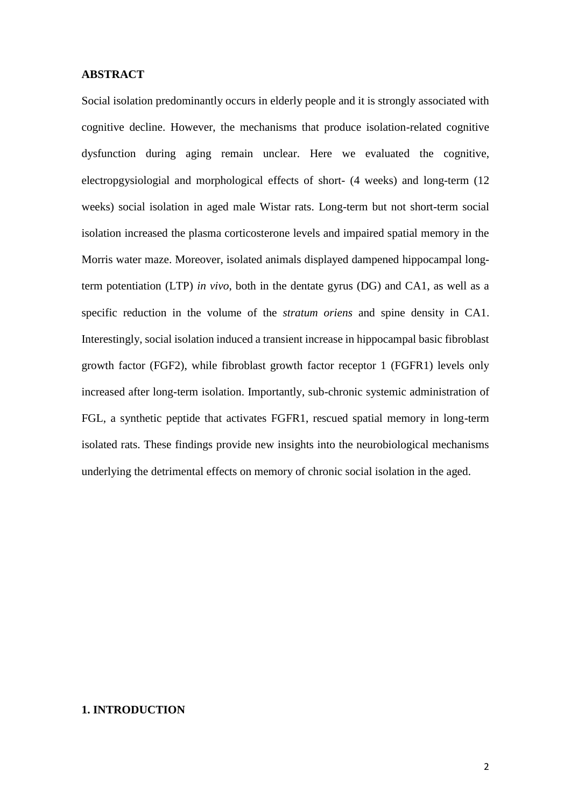## **ABSTRACT**

Social isolation predominantly occurs in elderly people and it is strongly associated with cognitive decline. However, the mechanisms that produce isolation-related cognitive dysfunction during aging remain unclear. Here we evaluated the cognitive, electropgysiologial and morphological effects of short- (4 weeks) and long-term (12 weeks) social isolation in aged male Wistar rats. Long-term but not short-term social isolation increased the plasma corticosterone levels and impaired spatial memory in the Morris water maze. Moreover, isolated animals displayed dampened hippocampal longterm potentiation (LTP) *in vivo*, both in the dentate gyrus (DG) and CA1, as well as a specific reduction in the volume of the *stratum oriens* and spine density in CA1. Interestingly, social isolation induced a transient increase in hippocampal basic fibroblast growth factor (FGF2), while fibroblast growth factor receptor 1 (FGFR1) levels only increased after long-term isolation. Importantly, sub-chronic systemic administration of FGL, a synthetic peptide that activates FGFR1, rescued spatial memory in long-term isolated rats. These findings provide new insights into the neurobiological mechanisms underlying the detrimental effects on memory of chronic social isolation in the aged.

### **1. INTRODUCTION**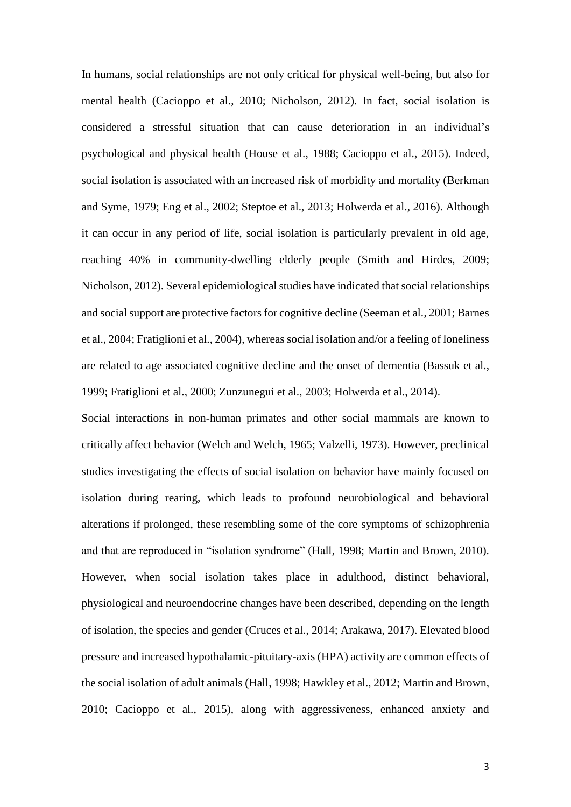In humans, social relationships are not only critical for physical well-being, but also for mental health (Cacioppo et al., 2010; Nicholson, 2012). In fact, social isolation is considered a stressful situation that can cause deterioration in an individual's psychological and physical health (House et al., 1988; Cacioppo et al., 2015). Indeed, social isolation is associated with an increased risk of morbidity and mortality (Berkman and Syme, 1979; Eng et al., 2002; Steptoe et al., 2013; Holwerda et al., 2016). Although it can occur in any period of life, social isolation is particularly prevalent in old age, reaching 40% in community-dwelling elderly people (Smith and Hirdes, 2009; Nicholson, 2012). Several epidemiological studies have indicated that social relationships and social support are protective factors for cognitive decline (Seeman et al., 2001; Barnes et al., 2004; Fratiglioni et al., 2004), whereas social isolation and/or a feeling of loneliness are related to age associated cognitive decline and the onset of dementia (Bassuk et al., 1999; Fratiglioni et al., 2000; Zunzunegui et al., 2003; Holwerda et al., 2014).

Social interactions in non-human primates and other social mammals are known to critically affect behavior (Welch and Welch, 1965; Valzelli, 1973). However, preclinical studies investigating the effects of social isolation on behavior have mainly focused on isolation during rearing, which leads to profound neurobiological and behavioral alterations if prolonged, these resembling some of the core symptoms of schizophrenia and that are reproduced in "isolation syndrome" (Hall, 1998; Martin and Brown, 2010). However, when social isolation takes place in adulthood, distinct behavioral, physiological and neuroendocrine changes have been described, depending on the length of isolation, the species and gender (Cruces et al., 2014; Arakawa, 2017). Elevated blood pressure and increased hypothalamic-pituitary-axis (HPA) activity are common effects of the social isolation of adult animals (Hall, 1998; Hawkley et al., 2012; Martin and Brown, 2010; Cacioppo et al., 2015), along with aggressiveness, enhanced anxiety and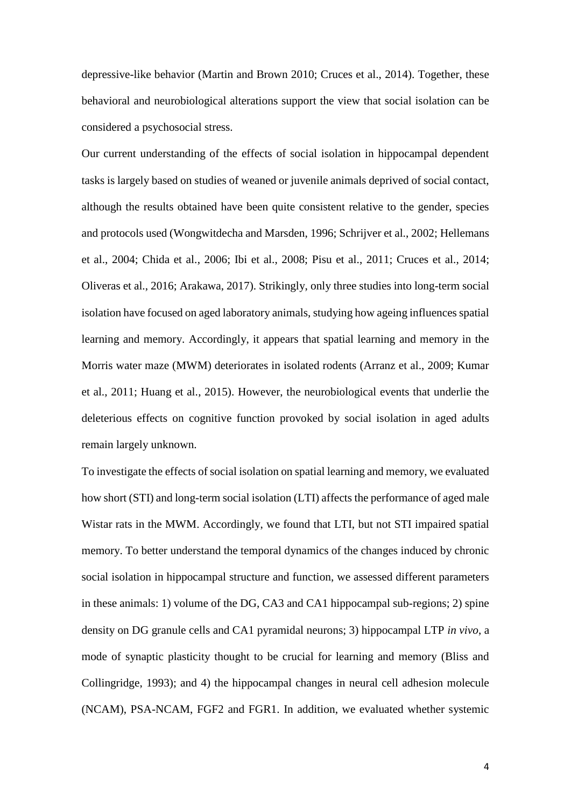depressive-like behavior (Martin and Brown 2010; Cruces et al., 2014). Together, these behavioral and neurobiological alterations support the view that social isolation can be considered a psychosocial stress.

Our current understanding of the effects of social isolation in hippocampal dependent tasks is largely based on studies of weaned or juvenile animals deprived of social contact, although the results obtained have been quite consistent relative to the gender, species and protocols used (Wongwitdecha and Marsden, 1996; Schrijver et al., 2002; Hellemans et al., 2004; Chida et al., 2006; Ibi et al., 2008; Pisu et al., 2011; Cruces et al., 2014; Oliveras et al., 2016; Arakawa, 2017). Strikingly, only three studies into long-term social isolation have focused on aged laboratory animals, studying how ageing influences spatial learning and memory. Accordingly, it appears that spatial learning and memory in the Morris water maze (MWM) deteriorates in isolated rodents (Arranz et al., 2009; Kumar et al., 2011; Huang et al., 2015). However, the neurobiological events that underlie the deleterious effects on cognitive function provoked by social isolation in aged adults remain largely unknown.

To investigate the effects of social isolation on spatial learning and memory, we evaluated how short (STI) and long-term social isolation (LTI) affects the performance of aged male Wistar rats in the MWM. Accordingly, we found that LTI, but not STI impaired spatial memory. To better understand the temporal dynamics of the changes induced by chronic social isolation in hippocampal structure and function, we assessed different parameters in these animals: 1) volume of the DG, CA3 and CA1 hippocampal sub-regions; 2) spine density on DG granule cells and CA1 pyramidal neurons; 3) hippocampal LTP *in vivo*, a mode of synaptic plasticity thought to be crucial for learning and memory (Bliss and Collingridge, 1993); and 4) the hippocampal changes in neural cell adhesion molecule (NCAM), PSA-NCAM, FGF2 and FGR1. In addition, we evaluated whether systemic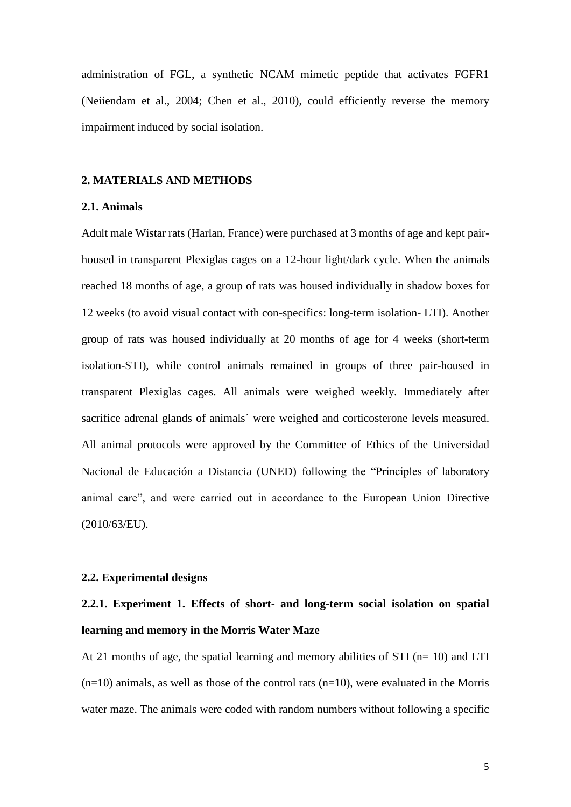administration of FGL, a synthetic NCAM mimetic peptide that activates FGFR1 (Neiiendam et al., 2004; Chen et al., 2010), could efficiently reverse the memory impairment induced by social isolation.

### **2. MATERIALS AND METHODS**

## **2.1. Animals**

Adult male Wistar rats (Harlan, France) were purchased at 3 months of age and kept pairhoused in transparent Plexiglas cages on a 12-hour light/dark cycle. When the animals reached 18 months of age, a group of rats was housed individually in shadow boxes for 12 weeks (to avoid visual contact with con-specifics: long-term isolation- LTI). Another group of rats was housed individually at 20 months of age for 4 weeks (short-term isolation-STI), while control animals remained in groups of three pair-housed in transparent Plexiglas cages. All animals were weighed weekly. Immediately after sacrifice adrenal glands of animals´ were weighed and corticosterone levels measured. All animal protocols were approved by the Committee of Ethics of the Universidad Nacional de Educación a Distancia (UNED) following the "Principles of laboratory animal care", and were carried out in accordance to the European Union Directive (2010/63/EU).

### **2.2. Experimental designs**

# **2.2.1. Experiment 1. Effects of short- and long-term social isolation on spatial learning and memory in the Morris Water Maze**

At 21 months of age, the spatial learning and memory abilities of  $STI$  (n= 10) and LTI  $(n=10)$  animals, as well as those of the control rats  $(n=10)$ , were evaluated in the Morris water maze. The animals were coded with random numbers without following a specific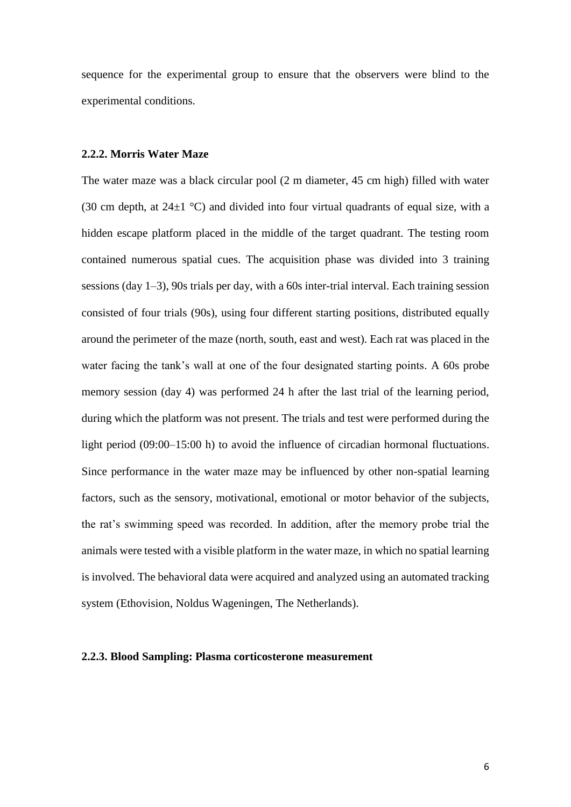sequence for the experimental group to ensure that the observers were blind to the experimental conditions.

## **2.2.2. Morris Water Maze**

The water maze was a black circular pool (2 m diameter, 45 cm high) filled with water (30 cm depth, at  $24\pm1$  °C) and divided into four virtual quadrants of equal size, with a hidden escape platform placed in the middle of the target quadrant. The testing room contained numerous spatial cues. The acquisition phase was divided into 3 training sessions (day 1–3), 90s trials per day, with a 60s inter-trial interval. Each training session consisted of four trials (90s), using four different starting positions, distributed equally around the perimeter of the maze (north, south, east and west). Each rat was placed in the water facing the tank's wall at one of the four designated starting points. A 60s probe memory session (day 4) was performed 24 h after the last trial of the learning period, during which the platform was not present. The trials and test were performed during the light period (09:00–15:00 h) to avoid the influence of circadian hormonal fluctuations. Since performance in the water maze may be influenced by other non-spatial learning factors, such as the sensory, motivational, emotional or motor behavior of the subjects, the rat's swimming speed was recorded. In addition, after the memory probe trial the animals were tested with a visible platform in the water maze, in which no spatial learning is involved. The behavioral data were acquired and analyzed using an automated tracking system (Ethovision, Noldus Wageningen, The Netherlands).

### **2.2.3. Blood Sampling: Plasma corticosterone measurement**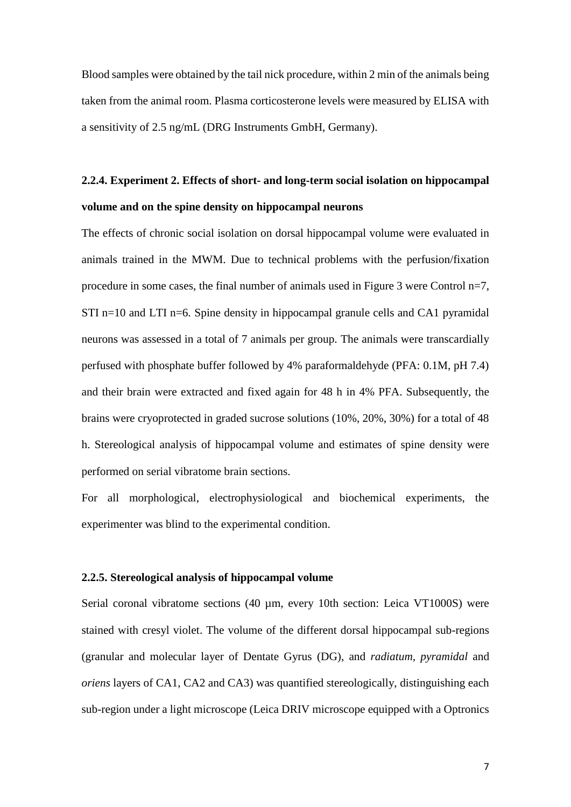Blood samples were obtained by the tail nick procedure, within 2 min of the animals being taken from the animal room. Plasma corticosterone levels were measured by ELISA with a sensitivity of 2.5 ng/mL (DRG Instruments GmbH, Germany).

## **2.2.4. Experiment 2. Effects of short- and long-term social isolation on hippocampal volume and on the spine density on hippocampal neurons**

The effects of chronic social isolation on dorsal hippocampal volume were evaluated in animals trained in the MWM. Due to technical problems with the perfusion/fixation procedure in some cases, the final number of animals used in Figure 3 were Control n=7, STI n=10 and LTI n=6. Spine density in hippocampal granule cells and CA1 pyramidal neurons was assessed in a total of 7 animals per group. The animals were transcardially perfused with phosphate buffer followed by 4% paraformaldehyde (PFA: 0.1M, pH 7.4) and their brain were extracted and fixed again for 48 h in 4% PFA. Subsequently, the brains were cryoprotected in graded sucrose solutions (10%, 20%, 30%) for a total of 48 h. Stereological analysis of hippocampal volume and estimates of spine density were performed on serial vibratome brain sections.

For all morphological, electrophysiological and biochemical experiments, the experimenter was blind to the experimental condition.

### **2.2.5. Stereological analysis of hippocampal volume**

Serial coronal vibratome sections (40 µm, every 10th section: Leica VT1000S) were stained with cresyl violet. The volume of the different dorsal hippocampal sub-regions (granular and molecular layer of Dentate Gyrus (DG), and *radiatum, pyramidal* and *oriens* layers of CA1, CA2 and CA3) was quantified stereologically, distinguishing each sub-region under a light microscope (Leica DRIV microscope equipped with a Optronics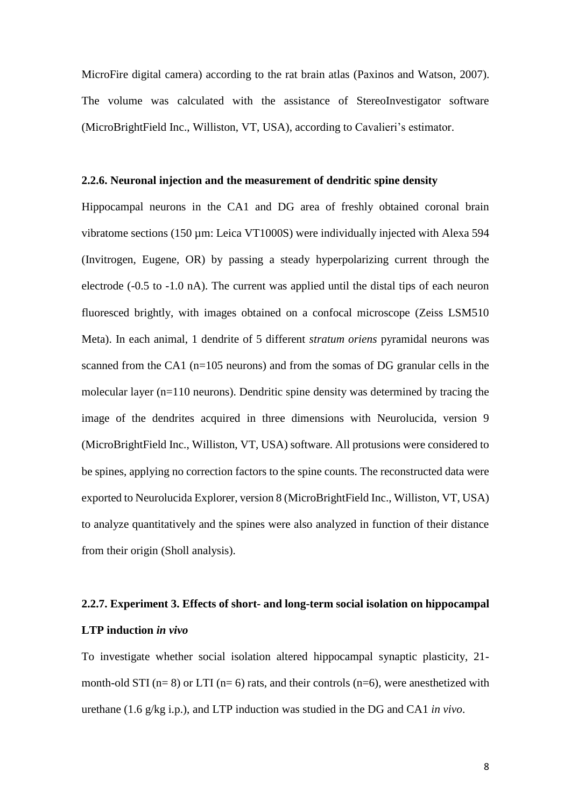MicroFire digital camera) according to the rat brain atlas (Paxinos and Watson, 2007). The volume was calculated with the assistance of StereoInvestigator software (MicroBrightField Inc., Williston, VT, USA), according to Cavalieri's estimator.

### **2.2.6. Neuronal injection and the measurement of dendritic spine density**

Hippocampal neurons in the CA1 and DG area of freshly obtained coronal brain vibratome sections (150 µm: Leica VT1000S) were individually injected with Alexa 594 (Invitrogen, Eugene, OR) by passing a steady hyperpolarizing current through the electrode (-0.5 to -1.0 nA). The current was applied until the distal tips of each neuron fluoresced brightly, with images obtained on a confocal microscope (Zeiss LSM510 Meta). In each animal, 1 dendrite of 5 different *stratum oriens* pyramidal neurons was scanned from the CA1 (n=105 neurons) and from the somas of DG granular cells in the molecular layer (n=110 neurons). Dendritic spine density was determined by tracing the image of the dendrites acquired in three dimensions with Neurolucida, version 9 (MicroBrightField Inc., Williston, VT, USA) software. All protusions were considered to be spines, applying no correction factors to the spine counts. The reconstructed data were exported to Neurolucida Explorer, version 8 (MicroBrightField Inc., Williston, VT, USA) to analyze quantitatively and the spines were also analyzed in function of their distance from their origin (Sholl analysis).

# **2.2.7. Experiment 3. Effects of short- and long-term social isolation on hippocampal LTP induction** *in vivo*

To investigate whether social isolation altered hippocampal synaptic plasticity, 21 month-old STI ( $n=8$ ) or LTI ( $n=6$ ) rats, and their controls ( $n=6$ ), were anesthetized with urethane (1.6 g/kg i.p.), and LTP induction was studied in the DG and CA1 *in vivo*.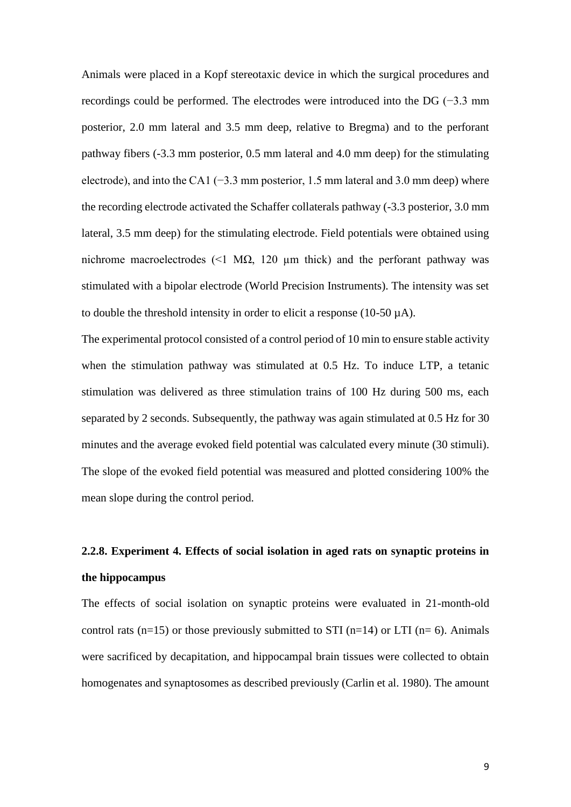Animals were placed in a Kopf stereotaxic device in which the surgical procedures and recordings could be performed. The electrodes were introduced into the DG (−3.3 mm posterior, 2.0 mm lateral and 3.5 mm deep, relative to Bregma) and to the perforant pathway fibers (-3.3 mm posterior, 0.5 mm lateral and 4.0 mm deep) for the stimulating electrode), and into the CA1 (−3.3 mm posterior, 1.5 mm lateral and 3.0 mm deep) where the recording electrode activated the Schaffer collaterals pathway (-3.3 posterior, 3.0 mm lateral, 3.5 mm deep) for the stimulating electrode. Field potentials were obtained using nichrome macroelectrodes (<1 MΩ, 120  $\mu$ m thick) and the perforant pathway was stimulated with a bipolar electrode (World Precision Instruments). The intensity was set to double the threshold intensity in order to elicit a response (10-50  $\mu$ A).

The experimental protocol consisted of a control period of 10 min to ensure stable activity when the stimulation pathway was stimulated at 0.5 Hz. To induce LTP, a tetanic stimulation was delivered as three stimulation trains of 100 Hz during 500 ms, each separated by 2 seconds. Subsequently, the pathway was again stimulated at 0.5 Hz for 30 minutes and the average evoked field potential was calculated every minute (30 stimuli). The slope of the evoked field potential was measured and plotted considering 100% the mean slope during the control period.

# **2.2.8. Experiment 4. Effects of social isolation in aged rats on synaptic proteins in the hippocampus**

The effects of social isolation on synaptic proteins were evaluated in 21-month-old control rats ( $n=15$ ) or those previously submitted to STI ( $n=14$ ) or LTI ( $n=6$ ). Animals were sacrificed by decapitation, and hippocampal brain tissues were collected to obtain homogenates and synaptosomes as described previously (Carlin et al. 1980). The amount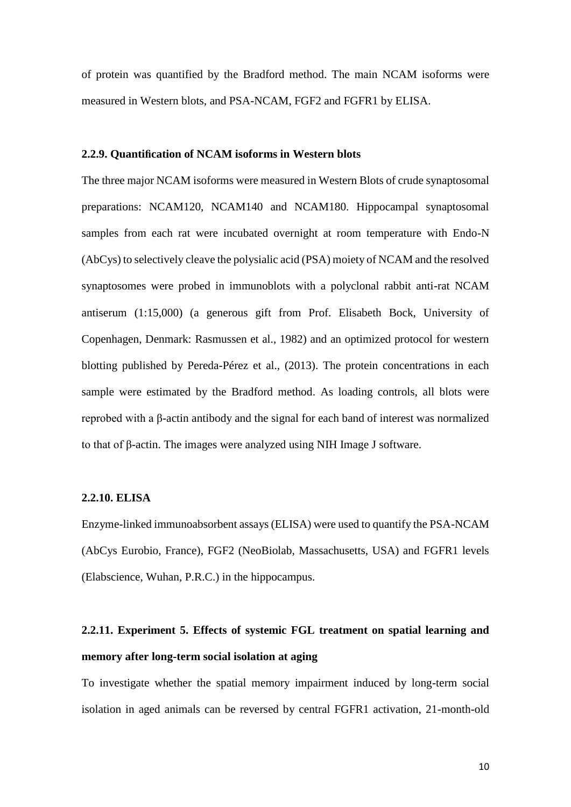of protein was quantified by the Bradford method. The main NCAM isoforms were measured in Western blots, and PSA-NCAM, FGF2 and FGFR1 by ELISA.

## **2.2.9. Quantification of NCAM isoforms in Western blots**

The three major NCAM isoforms were measured in Western Blots of crude synaptosomal preparations: NCAM120, NCAM140 and NCAM180. Hippocampal synaptosomal samples from each rat were incubated overnight at room temperature with Endo-N (AbCys) to selectively cleave the polysialic acid (PSA) moiety of NCAM and the resolved synaptosomes were probed in immunoblots with a polyclonal rabbit anti-rat NCAM antiserum (1:15,000) (a generous gift from Prof. Elisabeth Bock, University of Copenhagen, Denmark: Rasmussen et al., 1982) and an optimized protocol for western blotting published by Pereda-Pérez et al., (2013). The protein concentrations in each sample were estimated by the Bradford method. As loading controls, all blots were reprobed with a β-actin antibody and the signal for each band of interest was normalized to that of β-actin. The images were analyzed using NIH Image J software.

#### **2.2.10. ELISA**

Enzyme-linked immunoabsorbent assays (ELISA) were used to quantify the PSA-NCAM (AbCys Eurobio, France), FGF2 (NeoBiolab, Massachusetts, USA) and FGFR1 levels (Elabscience, Wuhan, P.R.C.) in the hippocampus.

## **2.2.11. Experiment 5. Effects of systemic FGL treatment on spatial learning and memory after long-term social isolation at aging**

To investigate whether the spatial memory impairment induced by long-term social isolation in aged animals can be reversed by central FGFR1 activation, 21-month-old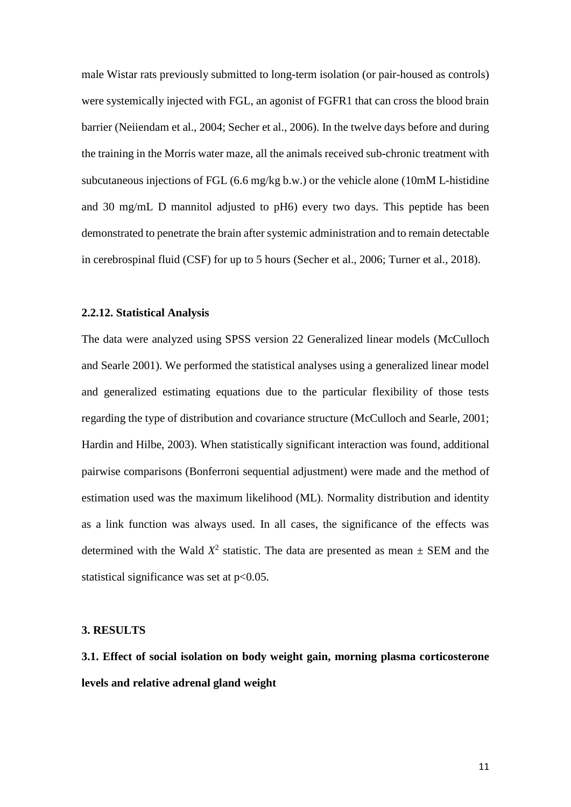male Wistar rats previously submitted to long-term isolation (or pair-housed as controls) were systemically injected with FGL, an agonist of FGFR1 that can cross the blood brain barrier (Neiiendam et al., 2004; Secher et al., 2006). In the twelve days before and during the training in the Morris water maze, all the animals received sub-chronic treatment with subcutaneous injections of FGL (6.6 mg/kg b.w.) or the vehicle alone (10mM L-histidine and 30 mg/mL D mannitol adjusted to pH6) every two days. This peptide has been demonstrated to penetrate the brain after systemic administration and to remain detectable in cerebrospinal fluid (CSF) for up to 5 hours (Secher et al., 2006; Turner et al., 2018).

## **2.2.12. Statistical Analysis**

The data were analyzed using SPSS version 22 Generalized linear models (McCulloch and Searle 2001). We performed the statistical analyses using a generalized linear model and generalized estimating equations due to the particular flexibility of those tests regarding the type of distribution and covariance structure (McCulloch and Searle, 2001; Hardin and Hilbe, 2003). When statistically significant interaction was found, additional pairwise comparisons (Bonferroni sequential adjustment) were made and the method of estimation used was the maximum likelihood (ML). Normality distribution and identity as a link function was always used. In all cases, the significance of the effects was determined with the Wald  $X^2$  statistic. The data are presented as mean  $\pm$  SEM and the statistical significance was set at  $p<0.05$ .

#### **3. RESULTS**

**3.1. Effect of social isolation on body weight gain, morning plasma corticosterone levels and relative adrenal gland weight**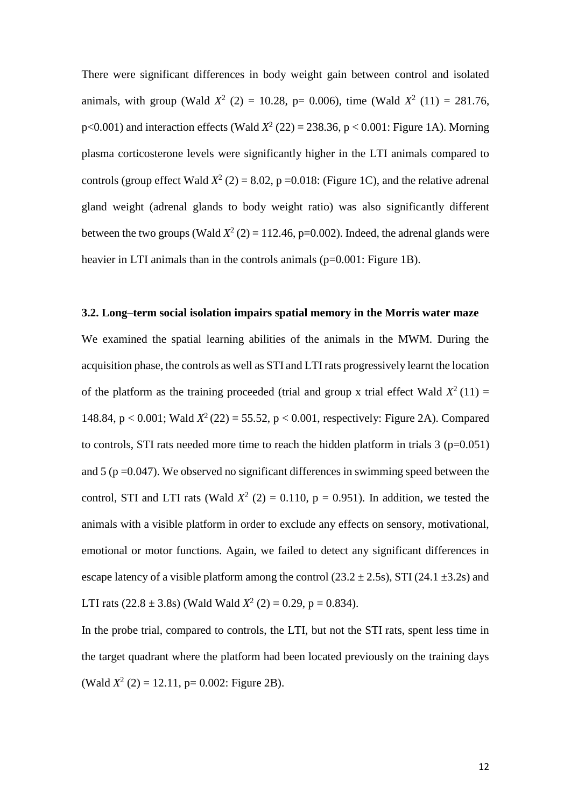There were significant differences in body weight gain between control and isolated animals, with group (Wald  $X^2$  (2) = 10.28, p= 0.006), time (Wald  $X^2$  (11) = 281.76, p<0.001) and interaction effects (Wald  $X^2$  (22) = 238.36, p < 0.001: Figure 1A). Morning plasma corticosterone levels were significantly higher in the LTI animals compared to controls (group effect Wald  $X^2$  (2) = 8.02, p = 0.018: (Figure 1C), and the relative adrenal gland weight (adrenal glands to body weight ratio) was also significantly different between the two groups (Wald  $X^2$  (2) = 112.46, p=0.002). Indeed, the adrenal glands were heavier in LTI animals than in the controls animals (p=0.001: Figure 1B).

### **3.2. Long–term social isolation impairs spatial memory in the Morris water maze**

We examined the spatial learning abilities of the animals in the MWM. During the acquisition phase, the controls as well as STI and LTI rats progressively learnt the location of the platform as the training proceeded (trial and group x trial effect Wald  $X^2(11) =$ 148.84,  $p < 0.001$ ; Wald  $X^2(22) = 55.52$ ,  $p < 0.001$ , respectively: Figure 2A). Compared to controls, STI rats needed more time to reach the hidden platform in trials  $3 (p=0.051)$ and  $5$  ( $p = 0.047$ ). We observed no significant differences in swimming speed between the control, STI and LTI rats (Wald  $X^2$  (2) = 0.110, p = 0.951). In addition, we tested the animals with a visible platform in order to exclude any effects on sensory, motivational, emotional or motor functions. Again, we failed to detect any significant differences in escape latency of a visible platform among the control  $(23.2 \pm 2.5s)$ , STI  $(24.1 \pm 3.2s)$  and LTI rats  $(22.8 \pm 3.8s)$  (Wald Wald  $X^2$  (2) = 0.29, p = 0.834).

In the probe trial, compared to controls, the LTI, but not the STI rats, spent less time in the target quadrant where the platform had been located previously on the training days (Wald  $X^2$  (2) = 12.11, p= 0.002: Figure 2B).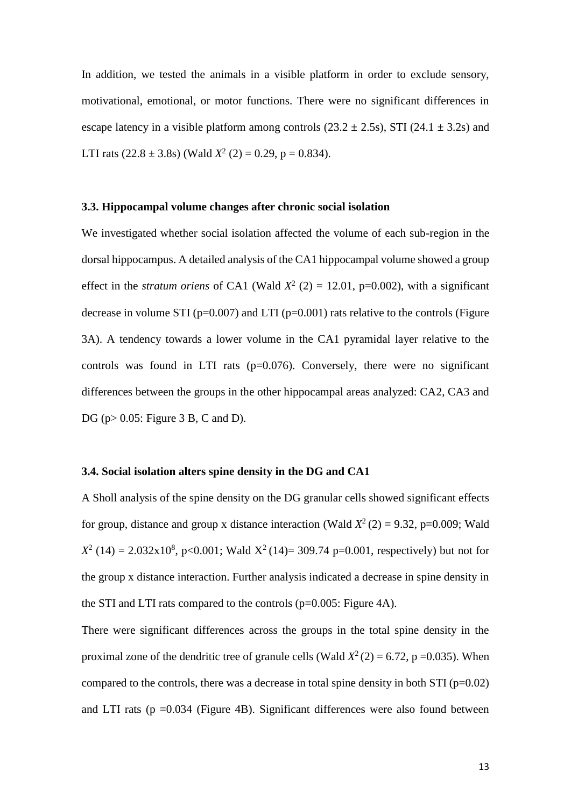In addition, we tested the animals in a visible platform in order to exclude sensory, motivational, emotional, or motor functions. There were no significant differences in escape latency in a visible platform among controls  $(23.2 \pm 2.5s)$ , STI  $(24.1 \pm 3.2s)$  and LTI rats  $(22.8 \pm 3.8s)$  (Wald  $X^2$  (2) = 0.29, p = 0.834).

#### **3.3. Hippocampal volume changes after chronic social isolation**

We investigated whether social isolation affected the volume of each sub-region in the dorsal hippocampus. A detailed analysis of the CA1 hippocampal volume showed a group effect in the *stratum oriens* of CA1 (Wald  $X^2$  (2) = 12.01, p=0.002), with a significant decrease in volume STI ( $p=0.007$ ) and LTI ( $p=0.001$ ) rats relative to the controls (Figure 3A). A tendency towards a lower volume in the CA1 pyramidal layer relative to the controls was found in LTI rats  $(p=0.076)$ . Conversely, there were no significant differences between the groups in the other hippocampal areas analyzed: CA2, CA3 and DG (p> 0.05: Figure 3 B, C and D).

### **3.4. Social isolation alters spine density in the DG and CA1**

A Sholl analysis of the spine density on the DG granular cells showed significant effects for group, distance and group x distance interaction (Wald  $X^2(2) = 9.32$ , p=0.009; Wald  $X^2$  (14) = 2.032x10<sup>8</sup>, p<0.001; Wald  $X^2$  (14)= 309.74 p=0.001, respectively) but not for the group x distance interaction. Further analysis indicated a decrease in spine density in the STI and LTI rats compared to the controls (p=0.005: Figure 4A).

There were significant differences across the groups in the total spine density in the proximal zone of the dendritic tree of granule cells (Wald  $X^2(2) = 6.72$ , p =0.035). When compared to the controls, there was a decrease in total spine density in both  $STI$  ( $p=0.02$ ) and LTI rats ( $p = 0.034$  (Figure 4B). Significant differences were also found between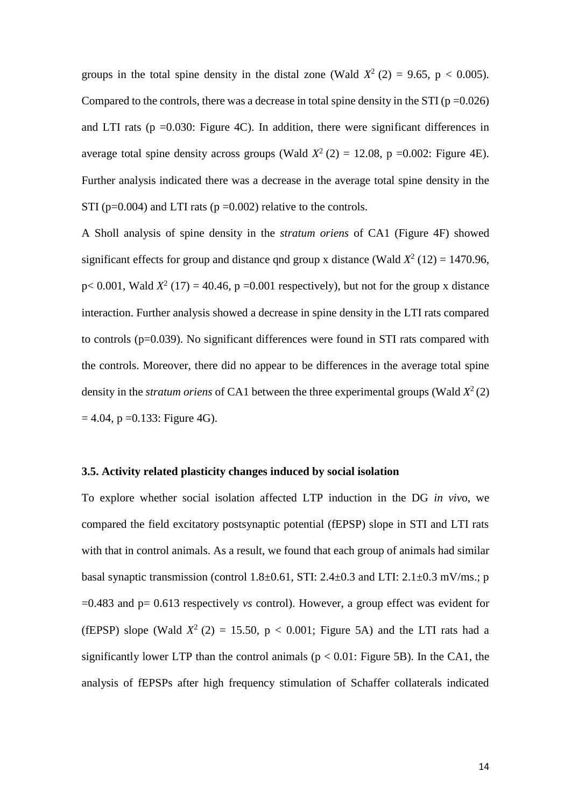groups in the total spine density in the distal zone (Wald  $X^2$  (2) = 9.65, p < 0.005). Compared to the controls, there was a decrease in total spine density in the STI ( $p = 0.026$ ) and LTI rats ( $p = 0.030$ : Figure 4C). In addition, there were significant differences in average total spine density across groups (Wald  $X^2$  (2) = 12.08, p =0.002: Figure 4E). Further analysis indicated there was a decrease in the average total spine density in the STI ( $p=0.004$ ) and LTI rats ( $p=0.002$ ) relative to the controls.

A Sholl analysis of spine density in the *stratum oriens* of CA1 (Figure 4F) showed significant effects for group and distance qnd group x distance (Wald  $X^2$  (12) = 1470.96,  $p< 0.001$ , Wald  $X^2$  (17) = 40.46, p = 0.001 respectively), but not for the group x distance interaction. Further analysis showed a decrease in spine density in the LTI rats compared to controls (p=0.039). No significant differences were found in STI rats compared with the controls. Moreover, there did no appear to be differences in the average total spine density in the *stratum oriens* of CA1 between the three experimental groups (Wald  $X^2(2)$ )  $= 4.04$ , p = 0.133: Figure 4G).

### **3.5. Activity related plasticity changes induced by social isolation**

To explore whether social isolation affected LTP induction in the DG *in viv*o, we compared the field excitatory postsynaptic potential (fEPSP) slope in STI and LTI rats with that in control animals. As a result, we found that each group of animals had similar basal synaptic transmission (control 1.8 $\pm$ 0.61, STI: 2.4 $\pm$ 0.3 and LTI: 2.1 $\pm$ 0.3 mV/ms.; p =0.483 and p= 0.613 respectively *vs* control). However, a group effect was evident for (fEPSP) slope (Wald  $X^2$  (2) = 15.50, p < 0.001; Figure 5A) and the LTI rats had a significantly lower LTP than the control animals ( $p < 0.01$ : Figure 5B). In the CA1, the analysis of fEPSPs after high frequency stimulation of Schaffer collaterals indicated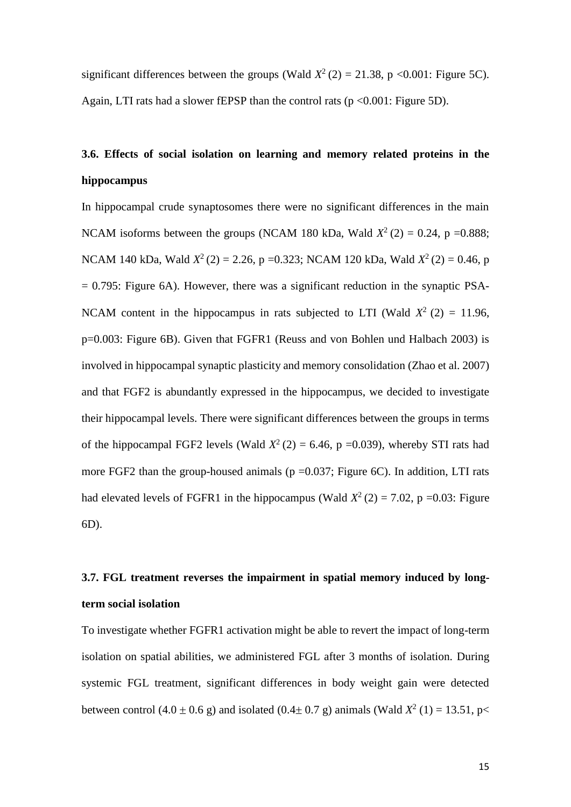significant differences between the groups (Wald  $X^2$  (2) = 21.38, p <0.001: Figure 5C). Again, LTI rats had a slower fEPSP than the control rats ( $p \le 0.001$ : Figure 5D).

# **3.6. Effects of social isolation on learning and memory related proteins in the hippocampus**

In hippocampal crude synaptosomes there were no significant differences in the main NCAM isoforms between the groups (NCAM 180 kDa, Wald  $X^2$  (2) = 0.24, p = 0.888; NCAM 140 kDa, Wald  $X^2$  (2) = 2.26, p = 0.323; NCAM 120 kDa, Wald  $X^2$  (2) = 0.46, p  $= 0.795$ : Figure 6A). However, there was a significant reduction in the synaptic PSA-NCAM content in the hippocampus in rats subjected to LTI (Wald  $X^2$  (2) = 11.96, p=0.003: Figure 6B). Given that FGFR1 (Reuss and von Bohlen und Halbach 2003) is involved in hippocampal synaptic plasticity and memory consolidation (Zhao et al. 2007) and that FGF2 is abundantly expressed in the hippocampus, we decided to investigate their hippocampal levels. There were significant differences between the groups in terms of the hippocampal FGF2 levels (Wald  $X^2$  (2) = 6.46, p = 0.039), whereby STI rats had more FGF2 than the group-housed animals ( $p = 0.037$ ; Figure 6C). In addition, LTI rats had elevated levels of FGFR1 in the hippocampus (Wald  $X^2(2) = 7.02$ , p =0.03: Figure 6D).

## **3.7. FGL treatment reverses the impairment in spatial memory induced by longterm social isolation**

To investigate whether FGFR1 activation might be able to revert the impact of long-term isolation on spatial abilities, we administered FGL after 3 months of isolation. During systemic FGL treatment, significant differences in body weight gain were detected between control  $(4.0 \pm 0.6 \text{ g})$  and isolated  $(0.4 \pm 0.7 \text{ g})$  animals (Wald  $X^2$  (1) = 13.51, p<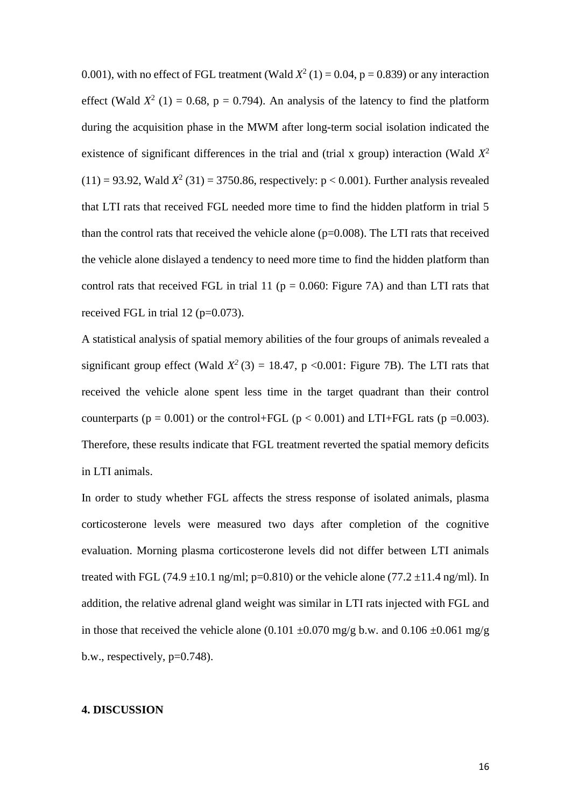0.001), with no effect of FGL treatment (Wald  $X^2$  (1) = 0.04, p = 0.839) or any interaction effect (Wald  $X^2$  (1) = 0.68, p = 0.794). An analysis of the latency to find the platform during the acquisition phase in the MWM after long-term social isolation indicated the existence of significant differences in the trial and (trial x group) interaction (Wald  $X^2$  $(11) = 93.92$ , Wald  $X^2(31) = 3750.86$ , respectively:  $p < 0.001$ ). Further analysis revealed that LTI rats that received FGL needed more time to find the hidden platform in trial 5 than the control rats that received the vehicle alone  $(p=0.008)$ . The LTI rats that received the vehicle alone dislayed a tendency to need more time to find the hidden platform than control rats that received FGL in trial 11 ( $p = 0.060$ : Figure 7A) and than LTI rats that received FGL in trial 12 (p=0.073).

A statistical analysis of spatial memory abilities of the four groups of animals revealed a significant group effect (Wald  $X^2$  (3) = 18.47, p <0.001: Figure 7B). The LTI rats that received the vehicle alone spent less time in the target quadrant than their control counterparts ( $p = 0.001$ ) or the control+FGL ( $p < 0.001$ ) and LTI+FGL rats ( $p = 0.003$ ). Therefore, these results indicate that FGL treatment reverted the spatial memory deficits in LTI animals.

In order to study whether FGL affects the stress response of isolated animals, plasma corticosterone levels were measured two days after completion of the cognitive evaluation. Morning plasma corticosterone levels did not differ between LTI animals treated with FGL (74.9  $\pm$ 10.1 ng/ml; p=0.810) or the vehicle alone (77.2  $\pm$ 11.4 ng/ml). In addition, the relative adrenal gland weight was similar in LTI rats injected with FGL and in those that received the vehicle alone (0.101  $\pm$ 0.070 mg/g b.w. and 0.106  $\pm$ 0.061 mg/g b.w., respectively,  $p=0.748$ ).

### **4. DISCUSSION**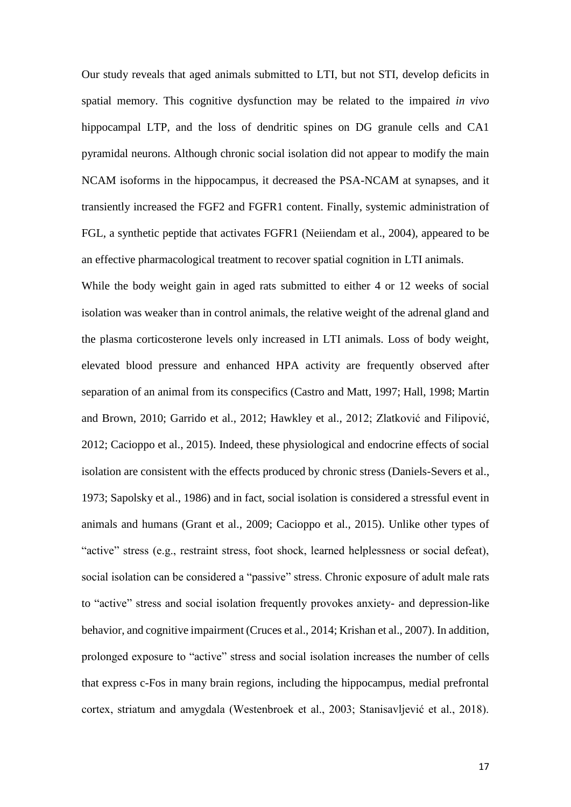Our study reveals that aged animals submitted to LTI, but not STI, develop deficits in spatial memory. This cognitive dysfunction may be related to the impaired *in vivo* hippocampal LTP, and the loss of dendritic spines on DG granule cells and CA1 pyramidal neurons. Although chronic social isolation did not appear to modify the main NCAM isoforms in the hippocampus, it decreased the PSA-NCAM at synapses, and it transiently increased the FGF2 and FGFR1 content. Finally, systemic administration of FGL, a synthetic peptide that activates FGFR1 (Neiiendam et al., 2004), appeared to be an effective pharmacological treatment to recover spatial cognition in LTI animals.

While the body weight gain in aged rats submitted to either 4 or 12 weeks of social isolation was weaker than in control animals, the relative weight of the adrenal gland and the plasma corticosterone levels only increased in LTI animals. Loss of body weight, elevated blood pressure and enhanced HPA activity are frequently observed after separation of an animal from its conspecifics (Castro and Matt, 1997; Hall, 1998; Martin and Brown, 2010; Garrido et al., 2012; Hawkley et al., 2012; Zlatković and Filipović, 2012; Cacioppo et al., 2015). Indeed, these physiological and endocrine effects of social isolation are consistent with the effects produced by chronic stress (Daniels-Severs et al., 1973; Sapolsky et al., 1986) and in fact, social isolation is considered a stressful event in animals and humans (Grant et al., 2009; Cacioppo et al., 2015). Unlike other types of "active" stress (e.g., restraint stress, foot shock, learned helplessness or social defeat), social isolation can be considered a "passive" stress. Chronic exposure of adult male rats to "active" stress and social isolation frequently provokes anxiety- and depression-like behavior, and cognitive impairment (Cruces et al., 2014; Krishan et al., 2007). In addition, prolonged exposure to "active" stress and social isolation increases the number of cells that express c-Fos in many brain regions, including the hippocampus, medial prefrontal cortex, striatum and amygdala (Westenbroek et al., 2003; Stanisavljević et al., 2018).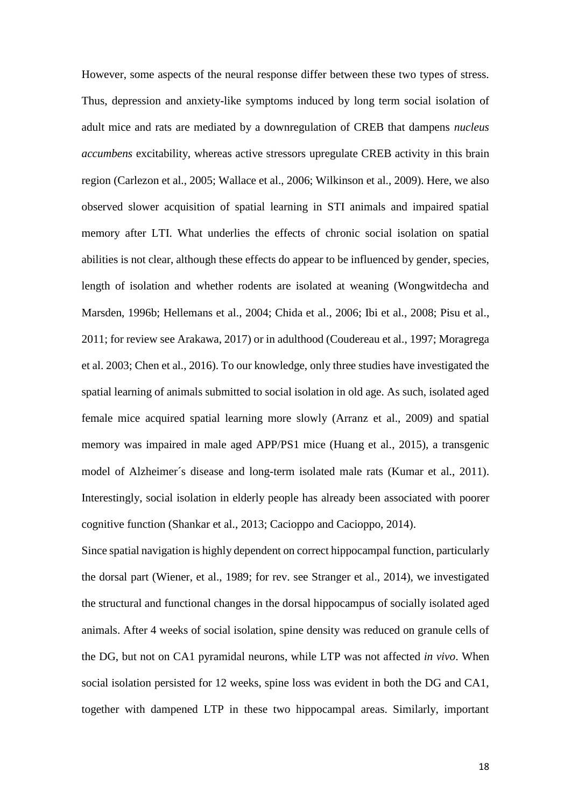However, some aspects of the neural response differ between these two types of stress. Thus, depression and anxiety-like symptoms induced by long term social isolation of adult mice and rats are mediated by a downregulation of CREB that dampens *nucleus accumbens* excitability, whereas active stressors upregulate CREB activity in this brain region (Carlezon et al., 2005; Wallace et al., 2006; Wilkinson et al., 2009). Here, we also observed slower acquisition of spatial learning in STI animals and impaired spatial memory after LTI. What underlies the effects of chronic social isolation on spatial abilities is not clear, although these effects do appear to be influenced by gender, species, length of isolation and whether rodents are isolated at weaning (Wongwitdecha and Marsden, 1996b; Hellemans et al., 2004; Chida et al., 2006; Ibi et al., 2008; Pisu et al., 2011; for review see Arakawa, 2017) or in adulthood (Coudereau et al., 1997; Moragrega et al. 2003; Chen et al., 2016). To our knowledge, only three studies have investigated the spatial learning of animals submitted to social isolation in old age. As such, isolated aged female mice acquired spatial learning more slowly (Arranz et al., 2009) and spatial memory was impaired in male aged APP/PS1 mice (Huang et al., 2015), a transgenic model of Alzheimer´s disease and long-term isolated male rats (Kumar et al., 2011). Interestingly, social isolation in elderly people has already been associated with poorer cognitive function (Shankar et al., 2013; Cacioppo and Cacioppo, 2014).

Since spatial navigation is highly dependent on correct hippocampal function, particularly the dorsal part (Wiener, et al., 1989; for rev. see Stranger et al., 2014), we investigated the structural and functional changes in the dorsal hippocampus of socially isolated aged animals. After 4 weeks of social isolation, spine density was reduced on granule cells of the DG, but not on CA1 pyramidal neurons, while LTP was not affected *in vivo*. When social isolation persisted for 12 weeks, spine loss was evident in both the DG and CA1, together with dampened LTP in these two hippocampal areas. Similarly, important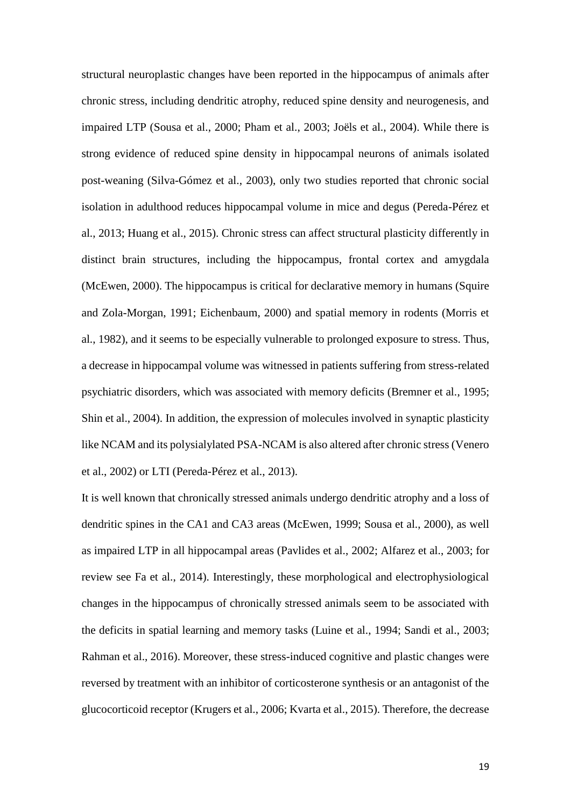structural neuroplastic changes have been reported in the hippocampus of animals after chronic stress, including dendritic atrophy, reduced spine density and neurogenesis, and impaired LTP (Sousa et al., 2000; Pham et al., 2003; Joëls et al., 2004). While there is strong evidence of reduced spine density in hippocampal neurons of animals isolated post-weaning (Silva-Gómez et al., 2003), only two studies reported that chronic social isolation in adulthood reduces hippocampal volume in mice and degus (Pereda-Pérez et al., 2013; Huang et al., 2015). Chronic stress can affect structural plasticity differently in distinct brain structures, including the hippocampus, frontal cortex and amygdala (McEwen, 2000). The hippocampus is critical for declarative memory in humans (Squire and Zola-Morgan, 1991; Eichenbaum, 2000) and spatial memory in rodents (Morris et al., 1982), and it seems to be especially vulnerable to prolonged exposure to stress. Thus, a decrease in hippocampal volume was witnessed in patients suffering from stress-related psychiatric disorders, which was associated with memory deficits (Bremner et al., 1995; Shin et al., 2004). In addition, the expression of molecules involved in synaptic plasticity like NCAM and its polysialylated PSA-NCAM is also altered after chronic stress (Venero et al., 2002) or LTI (Pereda-Pérez et al., 2013).

It is well known that chronically stressed animals undergo dendritic atrophy and a loss of dendritic spines in the CA1 and CA3 areas (McEwen, 1999; Sousa et al., 2000), as well as impaired LTP in all hippocampal areas (Pavlides et al., 2002; Alfarez et al., 2003; for review see Fa et al., 2014). Interestingly, these morphological and electrophysiological changes in the hippocampus of chronically stressed animals seem to be associated with the deficits in spatial learning and memory tasks (Luine et al., 1994; Sandi et al., 2003; Rahman et al., 2016). Moreover, these stress-induced cognitive and plastic changes were reversed by treatment with an inhibitor of corticosterone synthesis or an antagonist of the glucocorticoid receptor (Krugers et al., 2006; Kvarta et al., 2015). Therefore, the decrease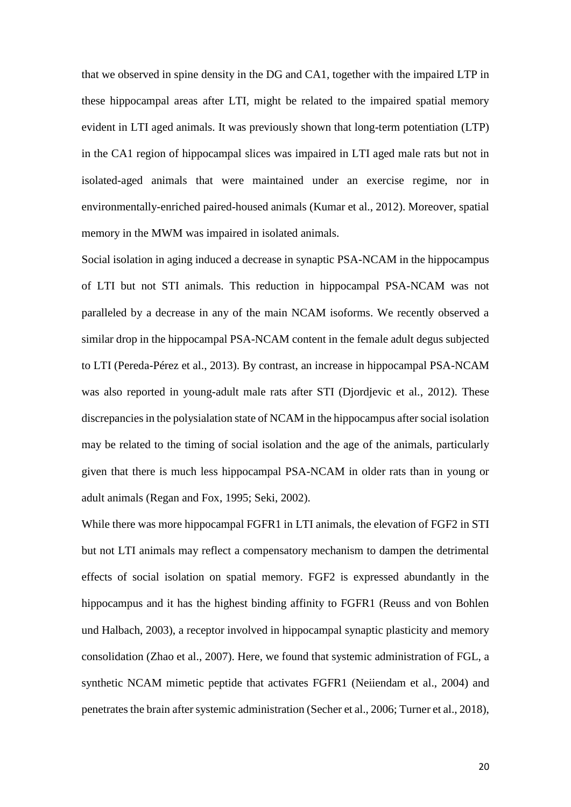that we observed in spine density in the DG and CA1, together with the impaired LTP in these hippocampal areas after LTI, might be related to the impaired spatial memory evident in LTI aged animals. It was previously shown that long-term potentiation (LTP) in the CA1 region of hippocampal slices was impaired in LTI aged male rats but not in isolated-aged animals that were maintained under an exercise regime, nor in environmentally-enriched paired-housed animals (Kumar et al., 2012). Moreover, spatial memory in the MWM was impaired in isolated animals.

Social isolation in aging induced a decrease in synaptic PSA-NCAM in the hippocampus of LTI but not STI animals. This reduction in hippocampal PSA-NCAM was not paralleled by a decrease in any of the main NCAM isoforms. We recently observed a similar drop in the hippocampal PSA-NCAM content in the female adult degus subjected to LTI (Pereda-Pérez et al., 2013). By contrast, an increase in hippocampal PSA-NCAM was also reported in young-adult male rats after STI (Djordjevic et al., 2012). These discrepancies in the polysialation state of NCAM in the hippocampus after social isolation may be related to the timing of social isolation and the age of the animals, particularly given that there is much less hippocampal PSA-NCAM in older rats than in young or adult animals (Regan and Fox, 1995; Seki, 2002).

While there was more hippocampal FGFR1 in LTI animals, the elevation of FGF2 in STI but not LTI animals may reflect a compensatory mechanism to dampen the detrimental effects of social isolation on spatial memory. FGF2 is expressed abundantly in the hippocampus and it has the highest binding affinity to FGFR1 (Reuss and von Bohlen und Halbach, 2003), a receptor involved in hippocampal synaptic plasticity and memory consolidation (Zhao et al., 2007). Here, we found that systemic administration of FGL, a synthetic NCAM mimetic peptide that activates FGFR1 (Neiiendam et al., 2004) and penetrates the brain after systemic administration (Secher et al., 2006; Turner et al., 2018),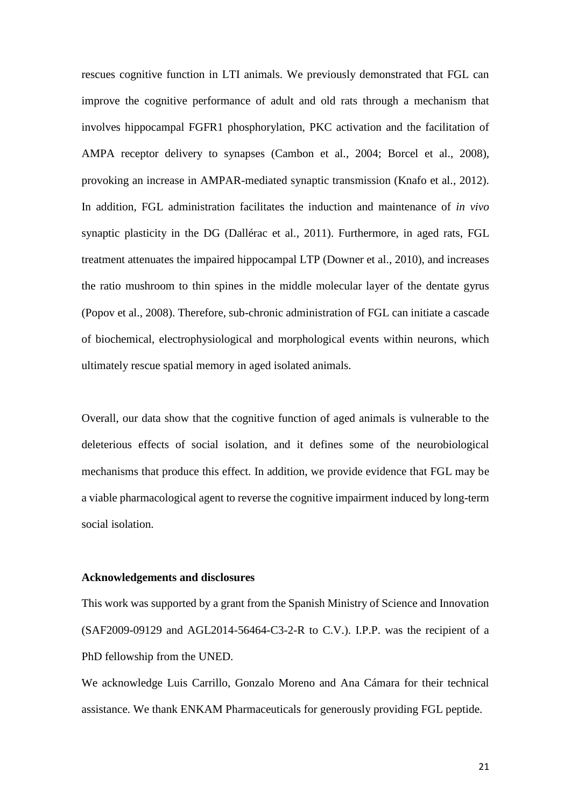rescues cognitive function in LTI animals. We previously demonstrated that FGL can improve the cognitive performance of adult and old rats through a mechanism that involves hippocampal FGFR1 phosphorylation, PKC activation and the facilitation of AMPA receptor delivery to synapses (Cambon et al., 2004; Borcel et al., 2008), provoking an increase in AMPAR-mediated synaptic transmission (Knafo et al., 2012). In addition, FGL administration facilitates the induction and maintenance of *in vivo* synaptic plasticity in the DG (Dallérac et al., 2011). Furthermore, in aged rats, FGL treatment attenuates the impaired hippocampal LTP (Downer et al., 2010), and increases the ratio mushroom to thin spines in the middle molecular layer of the dentate gyrus (Popov et al., 2008). Therefore, sub-chronic administration of FGL can initiate a cascade of biochemical, electrophysiological and morphological events within neurons, which ultimately rescue spatial memory in aged isolated animals.

Overall, our data show that the cognitive function of aged animals is vulnerable to the deleterious effects of social isolation, and it defines some of the neurobiological mechanisms that produce this effect. In addition, we provide evidence that FGL may be a viable pharmacological agent to reverse the cognitive impairment induced by long-term social isolation.

### **Acknowledgements and disclosures**

This work was supported by a grant from the Spanish Ministry of Science and Innovation (SAF2009-09129 and AGL2014-56464-C3-2-R to C.V.). I.P.P. was the recipient of a PhD fellowship from the UNED.

We acknowledge Luis Carrillo, Gonzalo Moreno and Ana Cámara for their technical assistance. We thank ENKAM Pharmaceuticals for generously providing FGL peptide.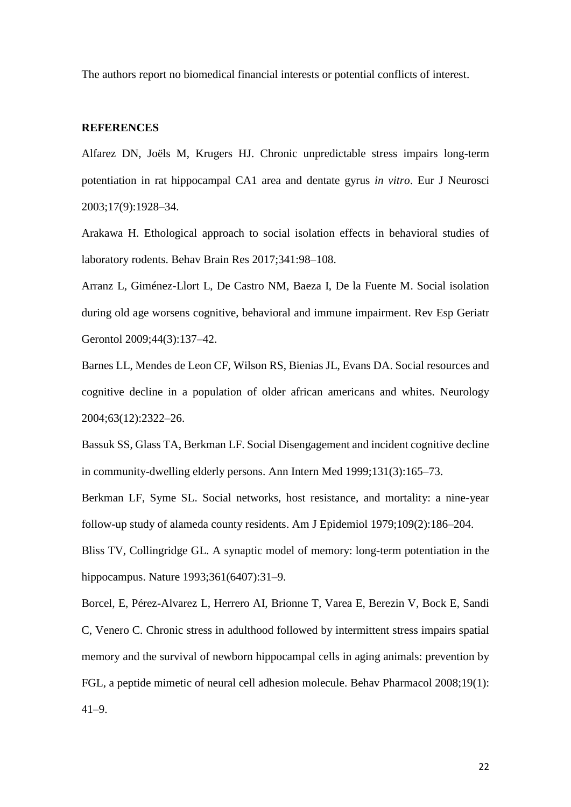The authors report no biomedical financial interests or potential conflicts of interest.

### **REFERENCES**

Alfarez DN, Joëls M, Krugers HJ. Chronic unpredictable stress impairs long-term potentiation in rat hippocampal CA1 area and dentate gyrus *in vitro*. Eur J Neurosci 2003;17(9):1928–34.

Arakawa H. Ethological approach to social isolation effects in behavioral studies of laboratory rodents. Behav Brain Res 2017;341:98–108.

Arranz L, Giménez-Llort L, De Castro NM, Baeza I, De la Fuente M. Social isolation during old age worsens cognitive, behavioral and immune impairment. Rev Esp Geriatr Gerontol 2009;44(3):137–42.

Barnes LL, Mendes de Leon CF, Wilson RS, Bienias JL, Evans DA. Social resources and cognitive decline in a population of older african americans and whites. Neurology 2004;63(12):2322–26.

Bassuk SS, Glass TA, Berkman LF. Social Disengagement and incident cognitive decline in community-dwelling elderly persons. Ann Intern Med 1999;131(3):165–73.

Berkman LF, Syme SL. Social networks, host resistance, and mortality: a nine-year follow-up study of alameda county residents. Am J Epidemiol 1979;109(2):186–204.

Bliss TV, Collingridge GL. A synaptic model of memory: long-term potentiation in the hippocampus. Nature 1993;361(6407):31–9.

Borcel, E, Pérez-Alvarez L, Herrero AI, Brionne T, Varea E, Berezin V, Bock E, Sandi C, Venero C. Chronic stress in adulthood followed by intermittent stress impairs spatial memory and the survival of newborn hippocampal cells in aging animals: prevention by FGL, a peptide mimetic of neural cell adhesion molecule. Behav Pharmacol 2008;19(1): 41–9.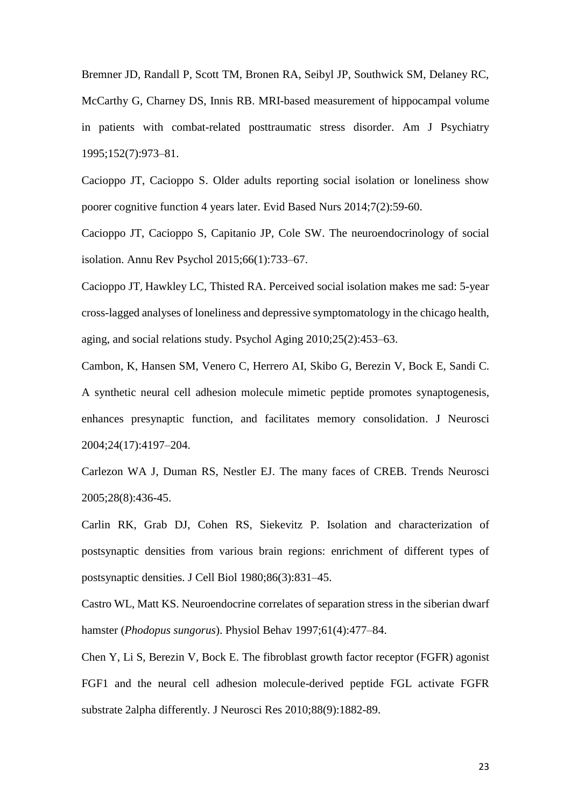Bremner JD, Randall P, Scott TM, Bronen RA, Seibyl JP, Southwick SM, Delaney RC, McCarthy G, Charney DS, Innis RB. MRI-based measurement of hippocampal volume in patients with combat-related posttraumatic stress disorder. Am J Psychiatry 1995;152(7):973–81.

Cacioppo JT, Cacioppo S. Older adults reporting social isolation or loneliness show poorer cognitive function 4 years later. Evid Based Nurs 2014;7(2):59-60.

Cacioppo JT, Cacioppo S, Capitanio JP, Cole SW. The neuroendocrinology of social isolation. Annu Rev Psychol 2015;66(1):733–67.

Cacioppo JT, Hawkley LC, Thisted RA. Perceived social isolation makes me sad: 5-year cross-lagged analyses of loneliness and depressive symptomatology in the chicago health, aging, and social relations study. Psychol Aging 2010;25(2):453–63.

Cambon, K, Hansen SM, Venero C, Herrero AI, Skibo G, Berezin V, Bock E, Sandi C. A synthetic neural cell adhesion molecule mimetic peptide promotes synaptogenesis, enhances presynaptic function, and facilitates memory consolidation. J Neurosci 2004;24(17):4197–204.

Carlezon WA J, Duman RS, Nestler EJ. The many faces of CREB. Trends Neurosci 2005;28(8):436-45.

Carlin RK, Grab DJ, Cohen RS, Siekevitz P. Isolation and characterization of postsynaptic densities from various brain regions: enrichment of different types of postsynaptic densities. J Cell Biol 1980;86(3):831–45.

Castro WL, Matt KS. Neuroendocrine correlates of separation stress in the siberian dwarf hamster (*Phodopus sungorus*). Physiol Behav 1997;61(4):477–84.

Chen Y, Li S, Berezin V, Bock E. The fibroblast growth factor receptor (FGFR) agonist FGF1 and the neural cell adhesion molecule-derived peptide FGL activate FGFR substrate 2alpha differently. J Neurosci Res 2010;88(9):1882-89.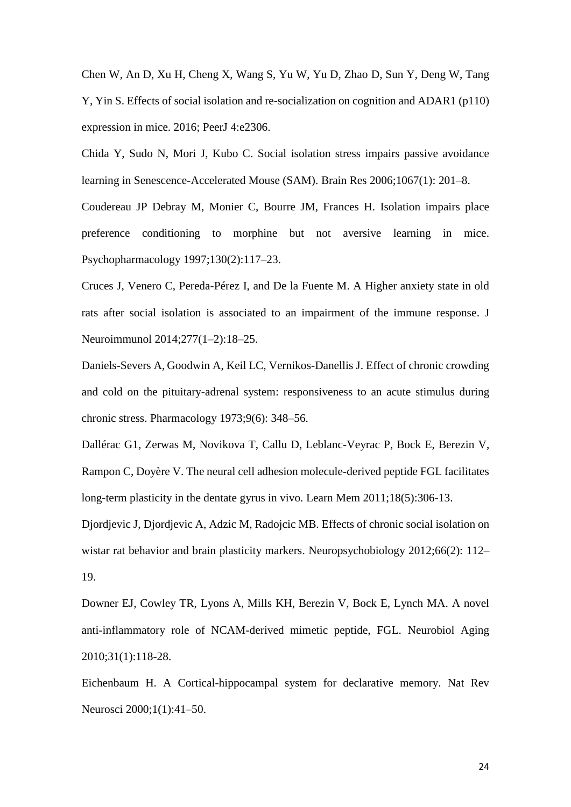Chen W, An D, Xu H, Cheng X, Wang S, Yu W, Yu D, Zhao D, Sun Y, Deng W, Tang Y, Yin S. Effects of social isolation and re-socialization on cognition and ADAR1 (p110) expression in mice. 2016; PeerJ 4:e2306.

Chida Y, Sudo N, Mori J, Kubo C. Social isolation stress impairs passive avoidance learning in Senescence-Accelerated Mouse (SAM). Brain Res 2006;1067(1): 201–8.

Coudereau JP Debray M, Monier C, Bourre JM, Frances H. Isolation impairs place preference conditioning to morphine but not aversive learning in mice. Psychopharmacology 1997;130(2):117–23.

Cruces J, Venero C, Pereda-Pérez I, and De la Fuente M. A Higher anxiety state in old rats after social isolation is associated to an impairment of the immune response. J Neuroimmunol 2014;277(1–2):18–25.

Daniels-Severs A, Goodwin A, Keil LC, Vernikos-Danellis J. Effect of chronic crowding and cold on the pituitary-adrenal system: responsiveness to an acute stimulus during chronic stress. Pharmacology 1973;9(6): 348–56.

Dallérac G1, Zerwas M, Novikova T, Callu D, Leblanc-Veyrac P, Bock E, Berezin V, Rampon C, Doyère V. The neural cell adhesion molecule-derived peptide FGL facilitates long-term plasticity in the dentate gyrus in vivo. Learn Mem 2011;18(5):306-13.

Djordjevic J, Djordjevic A, Adzic M, Radojcic MB. Effects of chronic social isolation on wistar rat behavior and brain plasticity markers. Neuropsychobiology 2012;66(2): 112– 19.

Downer EJ, Cowley TR, Lyons A, Mills KH, Berezin V, Bock E, Lynch MA. A novel anti-inflammatory role of NCAM-derived mimetic peptide, FGL. Neurobiol Aging 2010;31(1):118-28.

Eichenbaum H. A Cortical-hippocampal system for declarative memory. Nat Rev Neurosci 2000;1(1):41–50.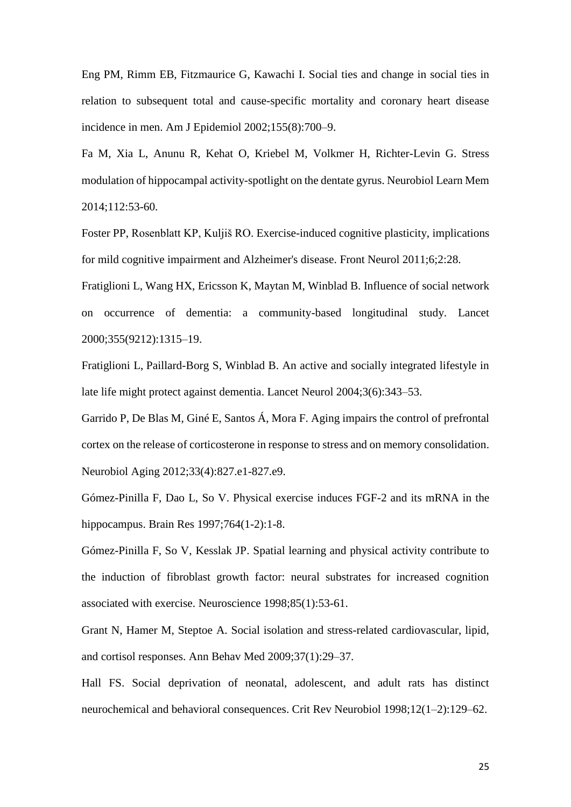Eng PM, Rimm EB, Fitzmaurice G, Kawachi I. Social ties and change in social ties in relation to subsequent total and cause-specific mortality and coronary heart disease incidence in men. Am J Epidemiol 2002;155(8):700–9.

Fa M, Xia L, Anunu R, Kehat O, Kriebel M, Volkmer H, Richter-Levin G. Stress modulation of hippocampal activity-spotlight on the dentate gyrus. Neurobiol Learn Mem 2014;112:53-60.

Foster PP, Rosenblatt KP, Kuljiš RO. Exercise-induced cognitive plasticity, implications for mild cognitive impairment and Alzheimer's disease. Front Neurol 2011;6;2:28.

Fratiglioni L, Wang HX, Ericsson K, Maytan M, Winblad B. Influence of social network on occurrence of dementia: a community-based longitudinal study. Lancet 2000;355(9212):1315–19.

Fratiglioni L, Paillard-Borg S, Winblad B. An active and socially integrated lifestyle in late life might protect against dementia. Lancet Neurol 2004;3(6):343–53.

Garrido P, De Blas M, Giné E, Santos Á, Mora F. Aging impairs the control of prefrontal cortex on the release of corticosterone in response to stress and on memory consolidation. Neurobiol Aging 2012;33(4):827.e1-827.e9.

Gómez-Pinilla F, Dao L, So V. Physical exercise induces FGF-2 and its mRNA in the hippocampus. Brain Res 1997;764(1-2):1-8.

Gómez-Pinilla F, So V, Kesslak JP. Spatial learning and physical activity contribute to the induction of fibroblast growth factor: neural substrates for increased cognition associated with exercise. Neuroscience 1998;85(1):53-61.

Grant N, Hamer M, Steptoe A. Social isolation and stress-related cardiovascular, lipid, and cortisol responses. Ann Behav Med 2009;37(1):29–37.

Hall FS. Social deprivation of neonatal, adolescent, and adult rats has distinct neurochemical and behavioral consequences. Crit Rev Neurobiol 1998;12(1–2):129–62.

25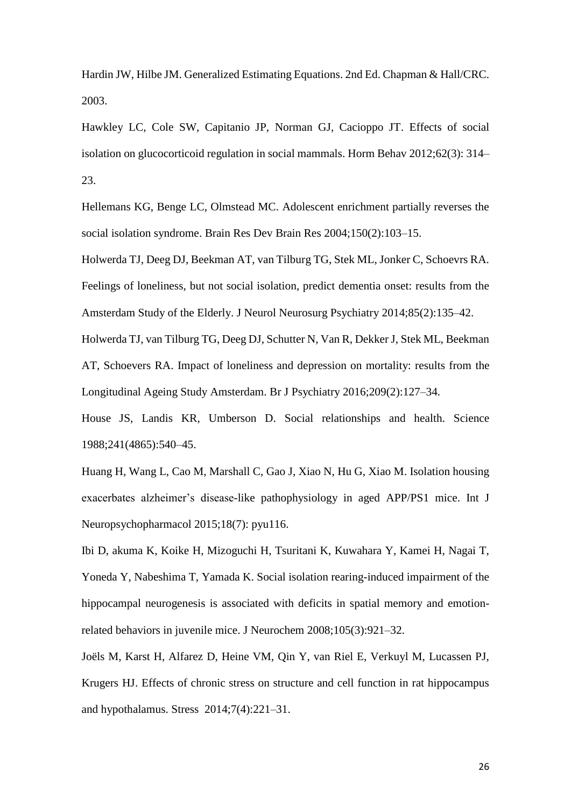Hardin JW, Hilbe JM. Generalized Estimating Equations. 2nd Ed. Chapman & Hall/CRC. 2003.

Hawkley LC, Cole SW, Capitanio JP, Norman GJ, Cacioppo JT. Effects of social isolation on glucocorticoid regulation in social mammals. Horm Behav 2012;62(3): 314– 23.

Hellemans KG, Benge LC, Olmstead MC. Adolescent enrichment partially reverses the social isolation syndrome. Brain Res Dev Brain Res 2004;150(2):103–15.

Holwerda TJ, Deeg DJ, Beekman AT, van Tilburg TG, Stek ML, Jonker C, Schoevrs RA. Feelings of loneliness, but not social isolation, predict dementia onset: results from the Amsterdam Study of the Elderly. J Neurol Neurosurg Psychiatry 2014;85(2):135–42.

Holwerda TJ, van Tilburg TG, Deeg DJ, Schutter N, Van R, Dekker J, Stek ML, Beekman AT, Schoevers RA. Impact of loneliness and depression on mortality: results from the Longitudinal Ageing Study Amsterdam. Br J Psychiatry 2016;209(2):127–34.

House JS, Landis KR, Umberson D. Social relationships and health. Science 1988;241(4865):540–45.

Huang H, Wang L, Cao M, Marshall C, Gao J, Xiao N, Hu G, Xiao M. Isolation housing exacerbates alzheimer's disease-like pathophysiology in aged APP/PS1 mice. Int J Neuropsychopharmacol 2015;18(7): pyu116.

Ibi D, akuma K, Koike H, Mizoguchi H, Tsuritani K, Kuwahara Y, Kamei H, Nagai T, Yoneda Y, Nabeshima T, Yamada K. Social isolation rearing-induced impairment of the hippocampal neurogenesis is associated with deficits in spatial memory and emotionrelated behaviors in juvenile mice. J Neurochem 2008;105(3):921–32.

Joëls M, Karst H, Alfarez D, Heine VM, Qin Y, van Riel E, Verkuyl M, Lucassen PJ, Krugers HJ. Effects of chronic stress on structure and cell function in rat hippocampus and hypothalamus. Stress 2014;7(4):221–31.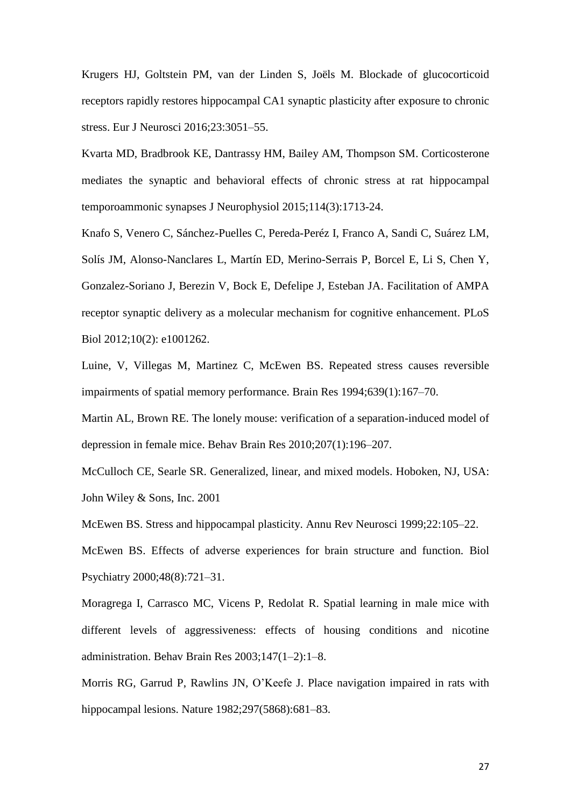Krugers HJ, Goltstein PM, van der Linden S, Joëls M. Blockade of glucocorticoid receptors rapidly restores hippocampal CA1 synaptic plasticity after exposure to chronic stress. Eur J Neurosci 2016;23:3051–55.

Kvarta MD, Bradbrook KE, Dantrassy HM, Bailey AM, Thompson SM. Corticosterone mediates the synaptic and behavioral effects of chronic stress at rat hippocampal temporoammonic synapses J Neurophysiol 2015;114(3):1713-24.

Knafo S, Venero C, Sánchez-Puelles C, Pereda-Peréz I, Franco A, Sandi C, Suárez LM, Solís JM, Alonso-Nanclares L, Martín ED, Merino-Serrais P, Borcel E, Li S, Chen Y, Gonzalez-Soriano J, Berezin V, Bock E, Defelipe J, Esteban JA. Facilitation of AMPA receptor synaptic delivery as a molecular mechanism for cognitive enhancement. PLoS Biol 2012;10(2): e1001262.

Luine, V, Villegas M, Martinez C, McEwen BS. Repeated stress causes reversible impairments of spatial memory performance. Brain Res 1994;639(1):167–70.

Martin AL, Brown RE. The lonely mouse: verification of a separation-induced model of depression in female mice. Behav Brain Res 2010;207(1):196–207.

McCulloch CE, Searle SR. Generalized, linear, and mixed models. Hoboken, NJ, USA: John Wiley & Sons, Inc. 2001

McEwen BS. Stress and hippocampal plasticity. Annu Rev Neurosci 1999;22:105–22.

McEwen BS. Effects of adverse experiences for brain structure and function. Biol Psychiatry 2000;48(8):721–31.

Moragrega I, Carrasco MC, Vicens P, Redolat R. Spatial learning in male mice with different levels of aggressiveness: effects of housing conditions and nicotine administration. Behav Brain Res 2003;147(1–2):1–8.

Morris RG, Garrud P, Rawlins JN, O'Keefe J. Place navigation impaired in rats with hippocampal lesions. Nature 1982;297(5868):681–83.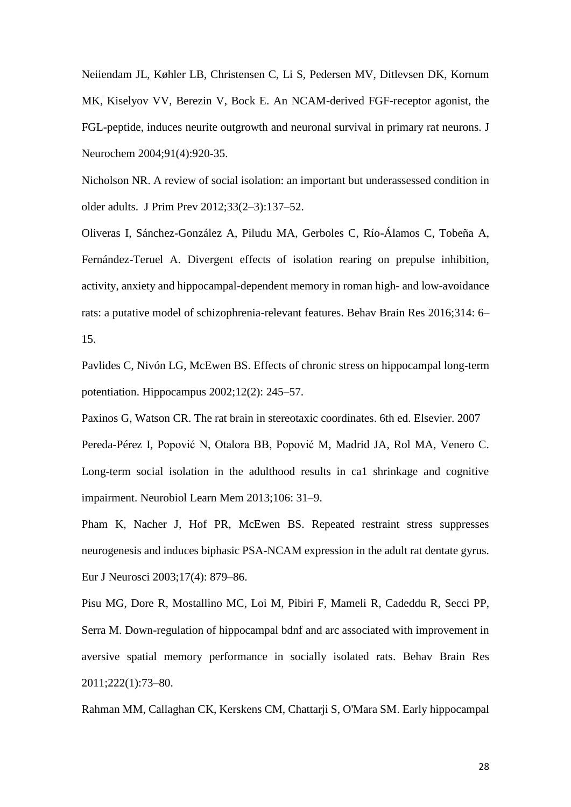Neiiendam JL, Køhler LB, Christensen C, Li S, Pedersen MV, Ditlevsen DK, Kornum MK, Kiselyov VV, Berezin V, Bock E. An NCAM-derived FGF-receptor agonist, the FGL-peptide, induces neurite outgrowth and neuronal survival in primary rat neurons. J Neurochem 2004;91(4):920-35.

Nicholson NR. A review of social isolation: an important but underassessed condition in older adults. J Prim Prev 2012;33(2–3):137–52.

Oliveras I, Sánchez-González A, Piludu MA, Gerboles C, Río-Álamos C, Tobeña A, Fernández-Teruel A. Divergent effects of isolation rearing on prepulse inhibition, activity, anxiety and hippocampal-dependent memory in roman high- and low-avoidance rats: a putative model of schizophrenia-relevant features. Behav Brain Res 2016;314: 6– 15.

Pavlides C, Nivón LG, McEwen BS. Effects of chronic stress on hippocampal long-term potentiation. Hippocampus 2002;12(2): 245–57.

Paxinos G, Watson CR. The rat brain in stereotaxic coordinates. 6th ed. Elsevier. 2007 Pereda-Pérez I, Popović N, Otalora BB, Popović M, Madrid JA, Rol MA, Venero C. Long-term social isolation in the adulthood results in ca1 shrinkage and cognitive impairment. Neurobiol Learn Mem 2013;106: 31–9.

Pham K, Nacher J, Hof PR, McEwen BS. Repeated restraint stress suppresses neurogenesis and induces biphasic PSA-NCAM expression in the adult rat dentate gyrus. Eur J Neurosci 2003;17(4): 879–86.

Pisu MG, Dore R, Mostallino MC, Loi M, Pibiri F, Mameli R, Cadeddu R, Secci PP, Serra M. Down-regulation of hippocampal bdnf and arc associated with improvement in aversive spatial memory performance in socially isolated rats. Behav Brain Res 2011;222(1):73–80.

Rahman MM, Callaghan CK, Kerskens CM, Chattarji S, O'Mara SM. Early hippocampal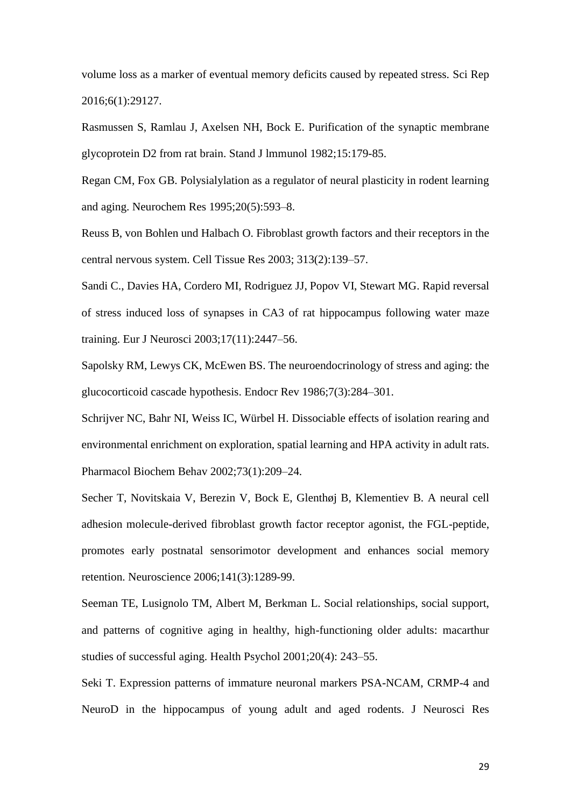volume loss as a marker of eventual memory deficits caused by repeated stress. Sci Rep 2016;6(1):29127.

Rasmussen S, Ramlau J, Axelsen NH, Bock E. Purification of the synaptic membrane glycoprotein D2 from rat brain. Stand J lmmunol 1982;15:179-85.

Regan CM, Fox GB. Polysialylation as a regulator of neural plasticity in rodent learning and aging. Neurochem Res 1995;20(5):593–8.

Reuss B, von Bohlen und Halbach O. Fibroblast growth factors and their receptors in the central nervous system. Cell Tissue Res 2003; 313(2):139–57.

Sandi C., Davies HA, Cordero MI, Rodriguez JJ, Popov VI, Stewart MG. Rapid reversal of stress induced loss of synapses in CA3 of rat hippocampus following water maze training. Eur J Neurosci 2003;17(11):2447–56.

Sapolsky RM, Lewys CK, McEwen BS. The neuroendocrinology of stress and aging: the glucocorticoid cascade hypothesis. Endocr Rev 1986;7(3):284–301.

Schrijver NC, Bahr NI, Weiss IC, Würbel H. Dissociable effects of isolation rearing and environmental enrichment on exploration, spatial learning and HPA activity in adult rats. Pharmacol Biochem Behav 2002;73(1):209–24.

Secher T, Novitskaia V, Berezin V, Bock E, Glenthøj B, Klementiev B. A neural cell adhesion molecule-derived fibroblast growth factor receptor agonist, the FGL-peptide, promotes early postnatal sensorimotor development and enhances social memory retention. Neuroscience 2006;141(3):1289-99.

Seeman TE, Lusignolo TM, Albert M, Berkman L. Social relationships, social support, and patterns of cognitive aging in healthy, high-functioning older adults: macarthur studies of successful aging. Health Psychol 2001;20(4): 243–55.

Seki T. Expression patterns of immature neuronal markers PSA-NCAM, CRMP-4 and NeuroD in the hippocampus of young adult and aged rodents. J Neurosci Res

29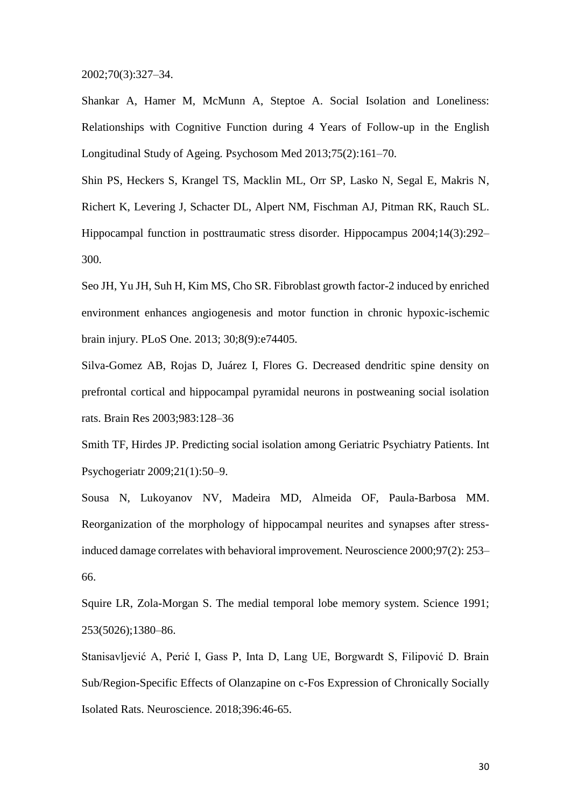2002;70(3):327–34.

Shankar A, Hamer M, McMunn A, Steptoe A. Social Isolation and Loneliness: Relationships with Cognitive Function during 4 Years of Follow-up in the English Longitudinal Study of Ageing. Psychosom Med 2013;75(2):161–70.

Shin PS, Heckers S, Krangel TS, Macklin ML, Orr SP, Lasko N, Segal E, Makris N, Richert K, Levering J, Schacter DL, Alpert NM, Fischman AJ, Pitman RK, Rauch SL. Hippocampal function in posttraumatic stress disorder. Hippocampus 2004;14(3):292– 300.

Seo JH, Yu JH, Suh H, Kim MS, Cho SR. Fibroblast growth factor-2 induced by enriched environment enhances angiogenesis and motor function in chronic hypoxic-ischemic brain injury. PLoS One. 2013; 30;8(9):e74405.

Silva-Gomez AB, Rojas D, Juárez I, Flores G. Decreased dendritic spine density on prefrontal cortical and hippocampal pyramidal neurons in postweaning social isolation rats. Brain Res 2003;983:128–36

Smith TF, Hirdes JP. Predicting social isolation among Geriatric Psychiatry Patients. Int Psychogeriatr 2009;21(1):50–9.

Sousa N, Lukoyanov NV, Madeira MD, Almeida OF, Paula-Barbosa MM. Reorganization of the morphology of hippocampal neurites and synapses after stressinduced damage correlates with behavioral improvement. Neuroscience 2000;97(2): 253– 66.

Squire LR, Zola-Morgan S. The medial temporal lobe memory system. Science 1991; 253(5026);1380–86.

Stanisavljević A, Perić I, Gass P, Inta D, Lang UE, Borgwardt S, Filipović D. Brain Sub/Region-Specific Effects of Olanzapine on c-Fos Expression of Chronically Socially Isolated Rats. Neuroscience. 2018;396:46-65.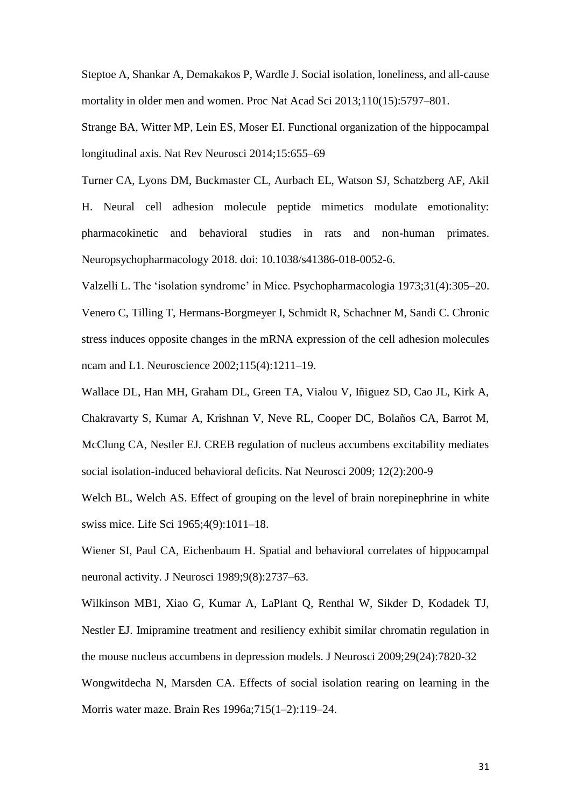Steptoe A, Shankar A, Demakakos P, Wardle J. Social isolation, loneliness, and all-cause mortality in older men and women. Proc Nat Acad Sci 2013;110(15):5797–801.

Strange BA, Witter MP, Lein ES, Moser EI. Functional organization of the hippocampal longitudinal axis. Nat Rev Neurosci 2014;15:655–69

Turner CA, Lyons DM, Buckmaster CL, Aurbach EL, Watson SJ, Schatzberg AF, Akil H. Neural cell adhesion molecule peptide mimetics modulate emotionality: pharmacokinetic and behavioral studies in rats and non-human primates. Neuropsychopharmacology 2018. doi: 10.1038/s41386-018-0052-6.

Valzelli L. The 'isolation syndrome' in Mice. Psychopharmacologia 1973;31(4):305–20. Venero C, Tilling T, Hermans-Borgmeyer I, Schmidt R, Schachner M, Sandi C. Chronic stress induces opposite changes in the mRNA expression of the cell adhesion molecules ncam and L1. Neuroscience 2002;115(4):1211–19.

Wallace DL, Han MH, Graham DL, Green TA, Vialou V, Iñiguez SD, Cao JL, Kirk A, Chakravarty S, Kumar A, Krishnan V, Neve RL, Cooper DC, Bolaños CA, Barrot M, McClung CA, Nestler EJ. CREB regulation of nucleus accumbens excitability mediates social isolation-induced behavioral deficits. Nat Neurosci 2009; 12(2):200-9

Welch BL, Welch AS. Effect of grouping on the level of brain norepinephrine in white swiss mice. Life Sci 1965;4(9):1011–18.

Wiener SI, Paul CA, Eichenbaum H. Spatial and behavioral correlates of hippocampal neuronal activity. J Neurosci 1989;9(8):2737–63.

Wilkinson MB1, Xiao G, Kumar A, LaPlant Q, Renthal W, Sikder D, Kodadek TJ, Nestler EJ. Imipramine treatment and resiliency exhibit similar chromatin regulation in the mouse nucleus accumbens in depression models. J Neurosci 2009;29(24):7820-32 Wongwitdecha N, Marsden CA. Effects of social isolation rearing on learning in the Morris water maze. Brain Res 1996a;715(1–2):119–24.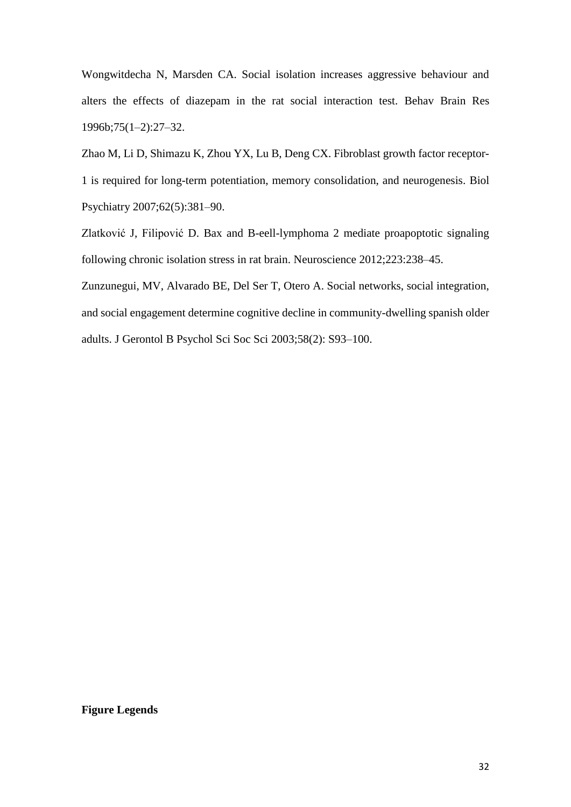Wongwitdecha N, Marsden CA. Social isolation increases aggressive behaviour and alters the effects of diazepam in the rat social interaction test. Behav Brain Res 1996b;75(1–2):27–32.

Zhao M, Li D, Shimazu K, Zhou YX, Lu B, Deng CX. Fibroblast growth factor receptor-

1 is required for long-term potentiation, memory consolidation, and neurogenesis. Biol Psychiatry 2007;62(5):381–90.

Zlatković J, Filipović D. Bax and B-eell-lymphoma 2 mediate proapoptotic signaling following chronic isolation stress in rat brain. Neuroscience 2012;223:238–45.

Zunzunegui, MV, Alvarado BE, Del Ser T, Otero A. Social networks, social integration, and social engagement determine cognitive decline in community-dwelling spanish older adults. J Gerontol B Psychol Sci Soc Sci 2003;58(2): S93–100.

**Figure Legends**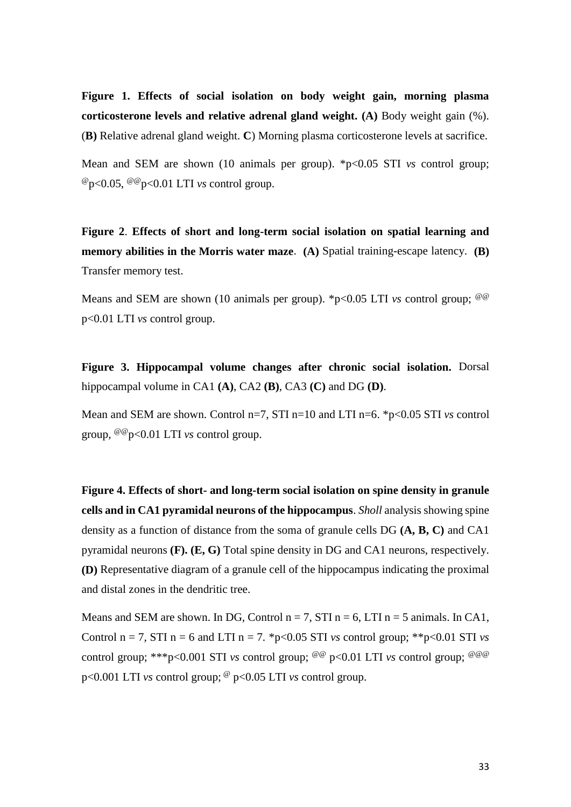**Figure 1. Effects of social isolation on body weight gain, morning plasma corticosterone levels and relative adrenal gland weight. (A)** Body weight gain (%). (**B)** Relative adrenal gland weight. **C**) Morning plasma corticosterone levels at sacrifice.

Mean and SEM are shown (10 animals per group). \*p<0.05 STI *vs* control group; @p<0.05, @@p<0.01 LTI *vs* control group.

**Figure 2**. **Effects of short and long-term social isolation on spatial learning and memory abilities in the Morris water maze**. **(A)** Spatial training-escape latency. **(B)** Transfer memory test.

Means and SEM are shown (10 animals per group). \*p<0.05 LTI *vs* control group; <sup>@@</sup> p<0.01 LTI *vs* control group.

**Figure 3. Hippocampal volume changes after chronic social isolation.** Dorsal hippocampal volume in CA1 **(A)**, CA2 **(B)**, CA3 **(C)** and DG **(D)**.

Mean and SEM are shown. Control n=7, STI n=10 and LTI n=6. \*p<0.05 STI *vs* control group, @@p<0.01 LTI *vs* control group.

**Figure 4. Effects of short- and long-term social isolation on spine density in granule cells and in CA1 pyramidal neurons of the hippocampus**. *Sholl* analysis showing spine density as a function of distance from the soma of granule cells DG **(A, B, C)** and CA1 pyramidal neurons **(F). (E, G)** Total spine density in DG and CA1 neurons, respectively. **(D)** Representative diagram of a granule cell of the hippocampus indicating the proximal and distal zones in the dendritic tree.

Means and SEM are shown. In DG, Control  $n = 7$ , STI  $n = 6$ , LTI  $n = 5$  animals. In CA1, Control  $n = 7$ , STI  $n = 6$  and LTI  $n = 7$ . \*p<0.05 STI *vs* control group; \*\*p<0.01 STI *vs* control group; \*\*\*p<0.001 STI *vs* control group;  $^{\omega\omega}$  p<0.01 LTI *vs* control group;  $^{\omega\omega}$ p<0.001 LTI *vs* control group; @ p<0.05 LTI *vs* control group.